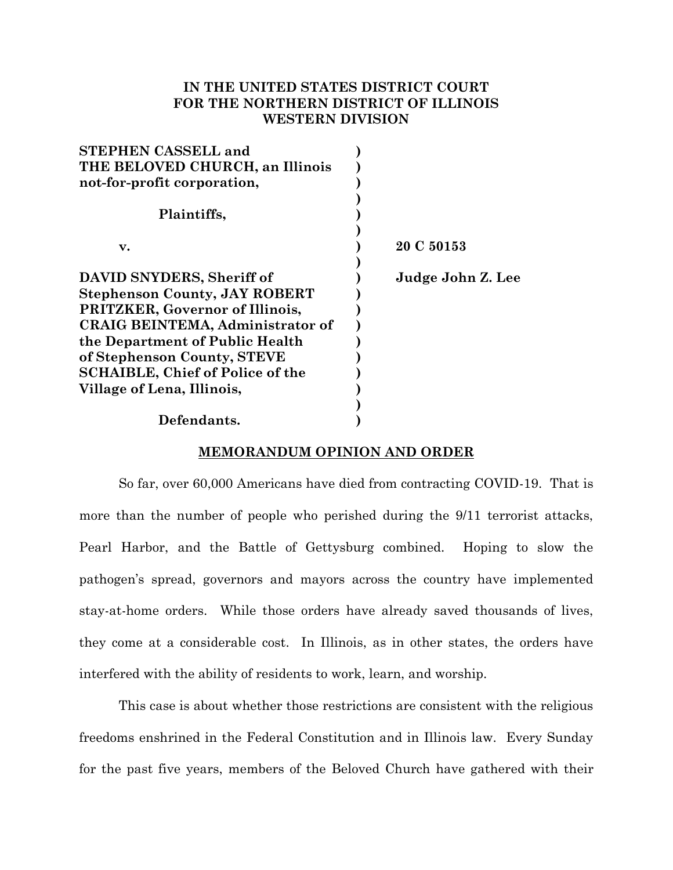# **IN THE UNITED STATES DISTRICT COURT FOR THE NORTHERN DISTRICT OF ILLINOIS WESTERN DIVISION**

| <b>STEPHEN CASSELL and</b>              |                   |
|-----------------------------------------|-------------------|
| THE BELOVED CHURCH, an Illinois         |                   |
| not-for-profit corporation,             |                   |
|                                         |                   |
| Plaintiffs,                             |                   |
|                                         |                   |
| $\mathbf{v}$ .                          | 20 C 50153        |
|                                         |                   |
| DAVID SNYDERS, Sheriff of               | Judge John Z. Lee |
| <b>Stephenson County, JAY ROBERT</b>    |                   |
| <b>PRITZKER, Governor of Illinois,</b>  |                   |
| <b>CRAIG BEINTEMA, Administrator of</b> |                   |
| the Department of Public Health         |                   |
| of Stephenson County, STEVE             |                   |
| <b>SCHAIBLE, Chief of Police of the</b> |                   |
| Village of Lena, Illinois,              |                   |
|                                         |                   |
| Defendants.                             |                   |

# **MEMORANDUM OPINION AND ORDER**

So far, over 60,000 Americans have died from contracting COVID-19. That is more than the number of people who perished during the 9/11 terrorist attacks, Pearl Harbor, and the Battle of Gettysburg combined. Hoping to slow the pathogen's spread, governors and mayors across the country have implemented stay-at-home orders. While those orders have already saved thousands of lives, they come at a considerable cost. In Illinois, as in other states, the orders have interfered with the ability of residents to work, learn, and worship.

This case is about whether those restrictions are consistent with the religious freedoms enshrined in the Federal Constitution and in Illinois law. Every Sunday for the past five years, members of the Beloved Church have gathered with their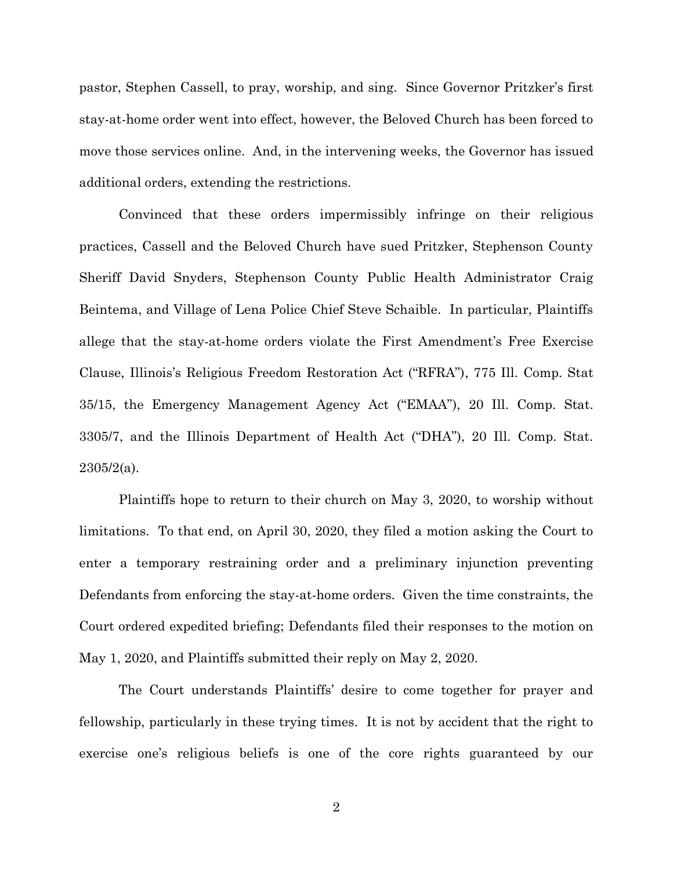pastor, Stephen Cassell, to pray, worship, and sing. Since Governor Pritzker's first stay-at-home order went into effect, however, the Beloved Church has been forced to move those services online. And, in the intervening weeks, the Governor has issued additional orders, extending the restrictions.

Convinced that these orders impermissibly infringe on their religious practices, Cassell and the Beloved Church have sued Pritzker, Stephenson County Sheriff David Snyders, Stephenson County Public Health Administrator Craig Beintema, and Village of Lena Police Chief Steve Schaible. In particular, Plaintiffs allege that the stay-at-home orders violate the First Amendment's Free Exercise Clause, Illinois's Religious Freedom Restoration Act ("RFRA"), 775 Ill. Comp. Stat 35/15, the Emergency Management Agency Act ("EMAA"), 20 Ill. Comp. Stat. 3305/7, and the Illinois Department of Health Act ("DHA"), 20 Ill. Comp. Stat.  $2305/2(a)$ .

Plaintiffs hope to return to their church on May 3, 2020, to worship without limitations. To that end, on April 30, 2020, they filed a motion asking the Court to enter a temporary restraining order and a preliminary injunction preventing Defendants from enforcing the stay-at-home orders. Given the time constraints, the Court ordered expedited briefing; Defendants filed their responses to the motion on May 1, 2020, and Plaintiffs submitted their reply on May 2, 2020.

The Court understands Plaintiffs' desire to come together for prayer and fellowship, particularly in these trying times. It is not by accident that the right to exercise one's religious beliefs is one of the core rights guaranteed by our

2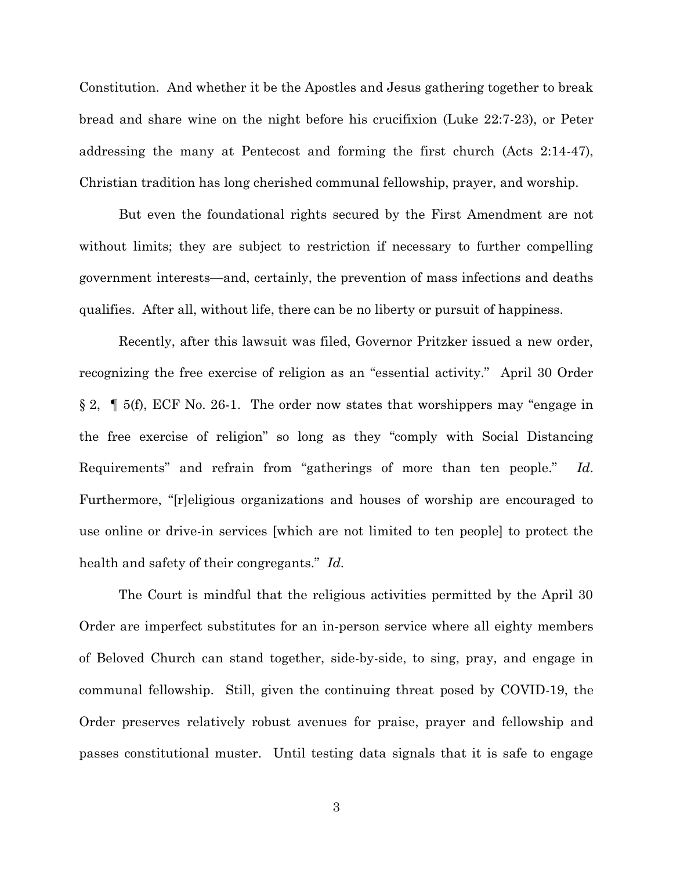Constitution. And whether it be the Apostles and Jesus gathering together to break bread and share wine on the night before his crucifixion (Luke 22:7-23), or Peter addressing the many at Pentecost and forming the first church (Acts 2:14-47), Christian tradition has long cherished communal fellowship, prayer, and worship.

But even the foundational rights secured by the First Amendment are not without limits; they are subject to restriction if necessary to further compelling government interests—and, certainly, the prevention of mass infections and deaths qualifies. After all, without life, there can be no liberty or pursuit of happiness.

Recently, after this lawsuit was filed, Governor Pritzker issued a new order, recognizing the free exercise of religion as an "essential activity." April 30 Order § 2, ¶ 5(f), ECF No. 26-1. The order now states that worshippers may "engage in the free exercise of religion" so long as they "comply with Social Distancing Requirements" and refrain from "gatherings of more than ten people." *Id*. Furthermore, "[r]eligious organizations and houses of worship are encouraged to use online or drive-in services [which are not limited to ten people] to protect the health and safety of their congregants." *Id*.

The Court is mindful that the religious activities permitted by the April 30 Order are imperfect substitutes for an in-person service where all eighty members of Beloved Church can stand together, side-by-side, to sing, pray, and engage in communal fellowship. Still, given the continuing threat posed by COVID-19, the Order preserves relatively robust avenues for praise, prayer and fellowship and passes constitutional muster. Until testing data signals that it is safe to engage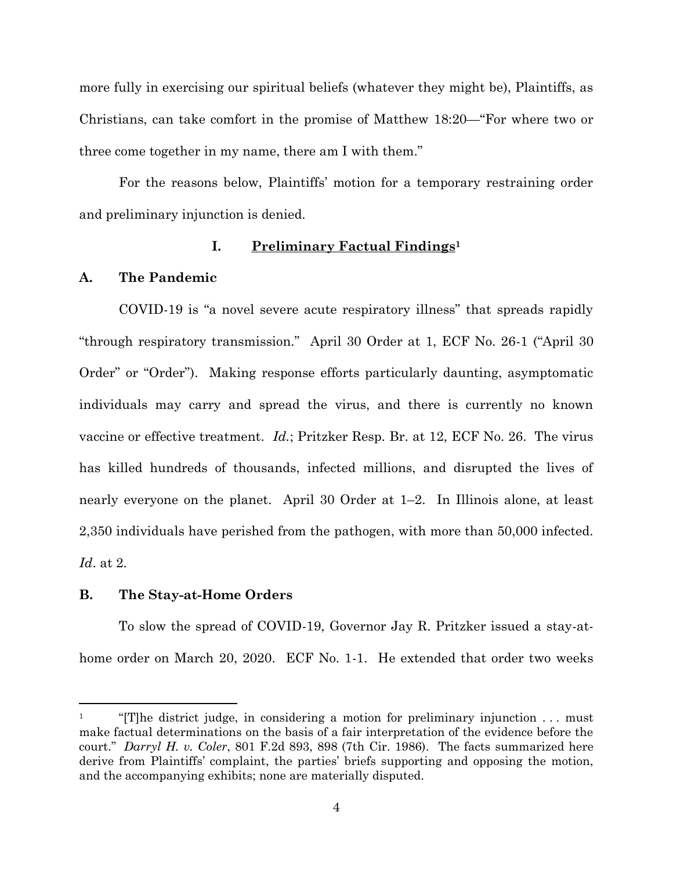more fully in exercising our spiritual beliefs (whatever they might be), Plaintiffs, as Christians, can take comfort in the promise of Matthew 18:20—"For where two or three come together in my name, there am I with them."

For the reasons below, Plaintiffs' motion for a temporary restraining order and preliminary injunction is denied.

# **I. Preliminary Factual Findings<sup>1</sup>**

# **A. The Pandemic**

COVID-19 is "a novel severe acute respiratory illness" that spreads rapidly "through respiratory transmission." April 30 Order at 1, ECF No. 26-1 ("April 30 Order" or "Order"). Making response efforts particularly daunting, asymptomatic individuals may carry and spread the virus, and there is currently no known vaccine or effective treatment. *Id.*; Pritzker Resp. Br. at 12, ECF No. 26. The virus has killed hundreds of thousands, infected millions, and disrupted the lives of nearly everyone on the planet. April 30 Order at 1–2. In Illinois alone, at least 2,350 individuals have perished from the pathogen, with more than 50,000 infected. *Id*. at 2.

# **B. The Stay-at-Home Orders**

To slow the spread of COVID-19, Governor Jay R. Pritzker issued a stay-athome order on March 20, 2020. ECF No. 1-1. He extended that order two weeks

<sup>&</sup>lt;sup>1</sup> "[T]he district judge, in considering a motion for preliminary injunction  $\dots$  must make factual determinations on the basis of a fair interpretation of the evidence before the court." *Darryl H. v. Coler*, 801 F.2d 893, 898 (7th Cir. 1986). The facts summarized here derive from Plaintiffs' complaint, the parties' briefs supporting and opposing the motion, and the accompanying exhibits; none are materially disputed.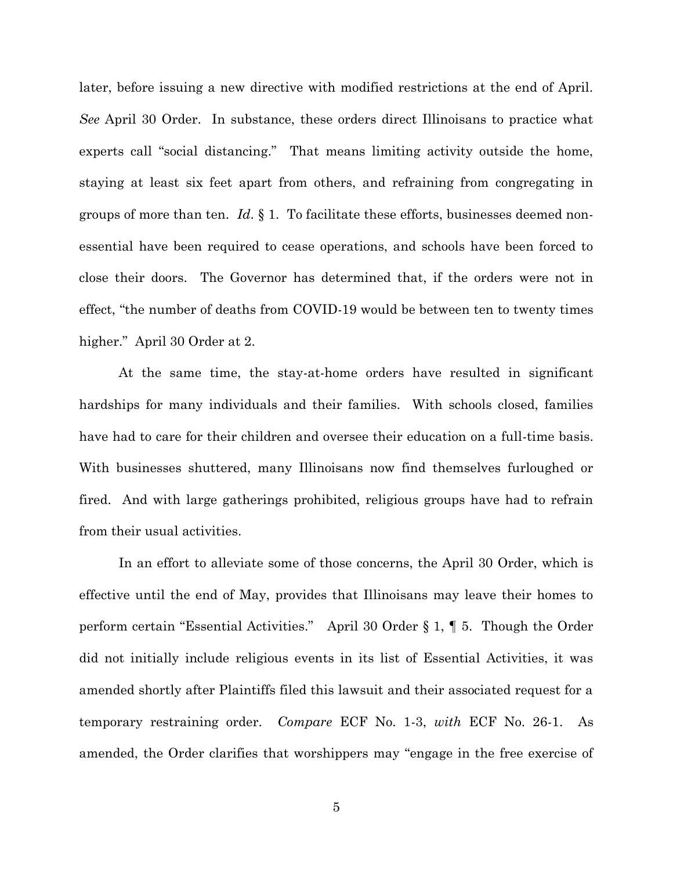later, before issuing a new directive with modified restrictions at the end of April. *See* April 30 Order. In substance, these orders direct Illinoisans to practice what experts call "social distancing." That means limiting activity outside the home, staying at least six feet apart from others, and refraining from congregating in groups of more than ten. *Id*. § 1. To facilitate these efforts, businesses deemed nonessential have been required to cease operations, and schools have been forced to close their doors. The Governor has determined that, if the orders were not in effect, "the number of deaths from COVID-19 would be between ten to twenty times higher." April 30 Order at 2.

At the same time, the stay-at-home orders have resulted in significant hardships for many individuals and their families. With schools closed, families have had to care for their children and oversee their education on a full-time basis. With businesses shuttered, many Illinoisans now find themselves furloughed or fired. And with large gatherings prohibited, religious groups have had to refrain from their usual activities.

In an effort to alleviate some of those concerns, the April 30 Order, which is effective until the end of May, provides that Illinoisans may leave their homes to perform certain "Essential Activities." April 30 Order § 1, ¶ 5. Though the Order did not initially include religious events in its list of Essential Activities, it was amended shortly after Plaintiffs filed this lawsuit and their associated request for a temporary restraining order. *Compare* ECF No. 1-3, *with* ECF No. 26-1. As amended, the Order clarifies that worshippers may "engage in the free exercise of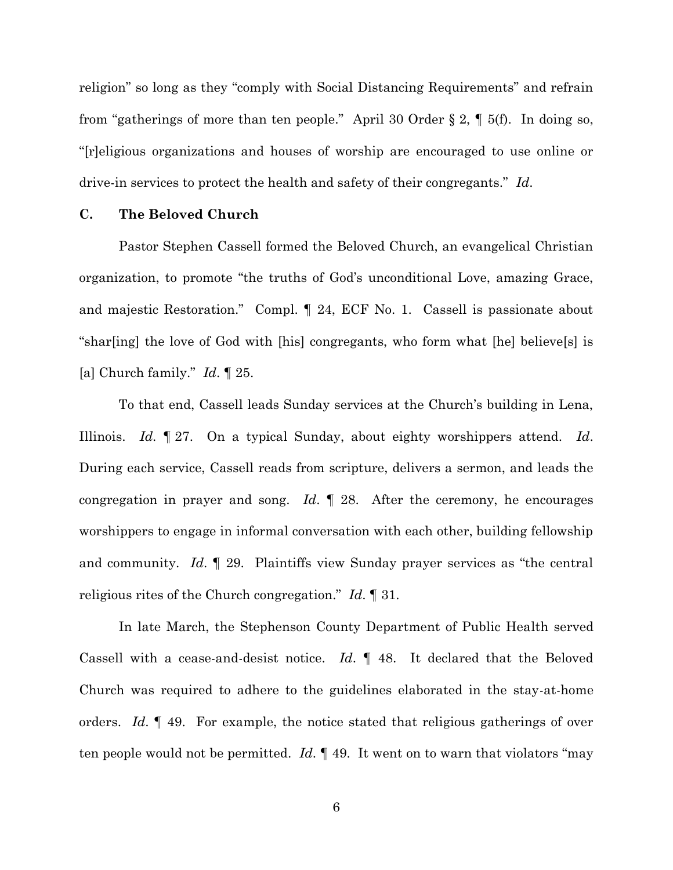religion" so long as they "comply with Social Distancing Requirements" and refrain from "gatherings of more than ten people." April 30 Order § 2, ¶ 5(f). In doing so, "[r]eligious organizations and houses of worship are encouraged to use online or drive-in services to protect the health and safety of their congregants." *Id*.

# **C. The Beloved Church**

Pastor Stephen Cassell formed the Beloved Church, an evangelical Christian organization, to promote "the truths of God's unconditional Love, amazing Grace, and majestic Restoration." Compl. ¶ 24, ECF No. 1. Cassell is passionate about "shar[ing] the love of God with [his] congregants, who form what [he] believe[s] is [a] Church family." *Id*. ¶ 25.

To that end, Cassell leads Sunday services at the Church's building in Lena, Illinois. *Id*. ¶ 27. On a typical Sunday, about eighty worshippers attend. *Id*. During each service, Cassell reads from scripture, delivers a sermon, and leads the congregation in prayer and song. *Id*. ¶ 28. After the ceremony, he encourages worshippers to engage in informal conversation with each other, building fellowship and community. *Id*. ¶ 29. Plaintiffs view Sunday prayer services as "the central religious rites of the Church congregation." *Id*. ¶ 31.

In late March, the Stephenson County Department of Public Health served Cassell with a cease-and-desist notice. *Id*. ¶ 48. It declared that the Beloved Church was required to adhere to the guidelines elaborated in the stay-at-home orders. *Id*. ¶ 49. For example, the notice stated that religious gatherings of over ten people would not be permitted. *Id*. ¶ 49. It went on to warn that violators "may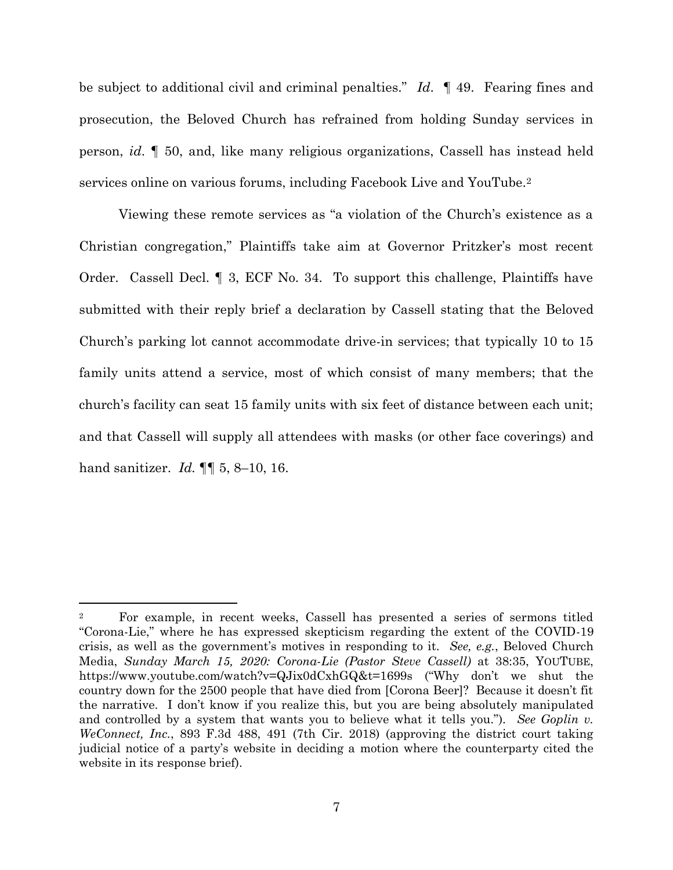be subject to additional civil and criminal penalties." *Id*. ¶ 49. Fearing fines and prosecution, the Beloved Church has refrained from holding Sunday services in person, *id*. ¶ 50, and, like many religious organizations, Cassell has instead held services online on various forums, including Facebook Live and YouTube.<sup>2</sup>

Viewing these remote services as "a violation of the Church's existence as a Christian congregation," Plaintiffs take aim at Governor Pritzker's most recent Order. Cassell Decl. ¶ 3, ECF No. 34. To support this challenge, Plaintiffs have submitted with their reply brief a declaration by Cassell stating that the Beloved Church's parking lot cannot accommodate drive-in services; that typically 10 to 15 family units attend a service, most of which consist of many members; that the church's facility can seat 15 family units with six feet of distance between each unit; and that Cassell will supply all attendees with masks (or other face coverings) and hand sanitizer. *Id.* ¶¶ 5, 8–10, 16.

<sup>2</sup> For example, in recent weeks, Cassell has presented a series of sermons titled "Corona-Lie," where he has expressed skepticism regarding the extent of the COVID-19 crisis, as well as the government's motives in responding to it. *See, e.g.*, Beloved Church Media, *Sunday March 15, 2020: Corona-Lie (Pastor Steve Cassell)* at 38:35, YOUTUBE, https://www.youtube.com/watch?v=QJix0dCxhGQ&t=1699s ("Why don't we shut the country down for the 2500 people that have died from [Corona Beer]? Because it doesn't fit the narrative. I don't know if you realize this, but you are being absolutely manipulated and controlled by a system that wants you to believe what it tells you."). *See Goplin v. WeConnect, Inc.*, 893 F.3d 488, 491 (7th Cir. 2018) (approving the district court taking judicial notice of a party's website in deciding a motion where the counterparty cited the website in its response brief).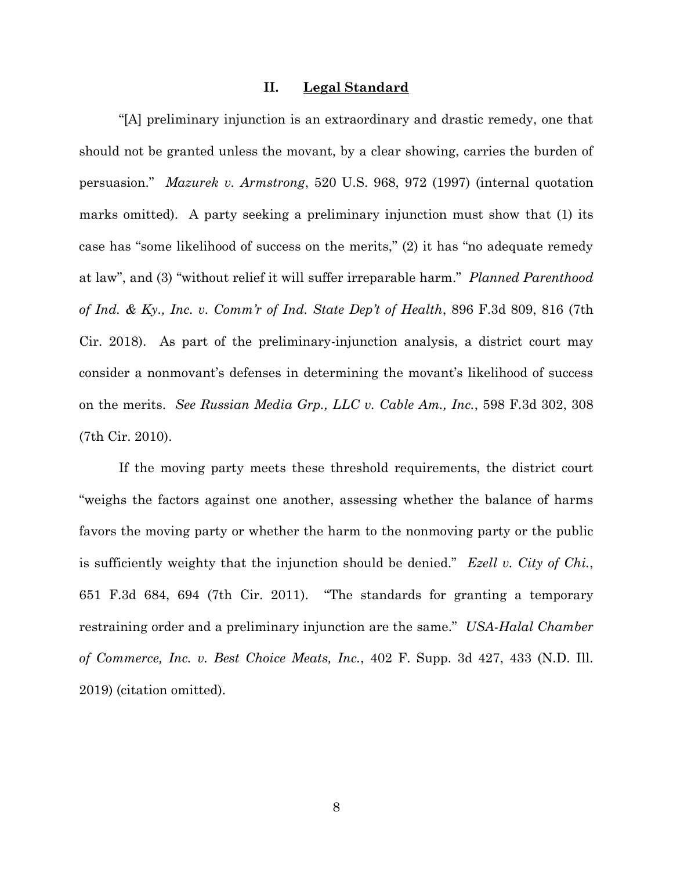#### **II. Legal Standard**

"[A] preliminary injunction is an extraordinary and drastic remedy, one that should not be granted unless the movant, by a clear showing, carries the burden of persuasion." *Mazurek v. Armstrong*, 520 U.S. 968, 972 (1997) (internal quotation marks omitted). A party seeking a preliminary injunction must show that (1) its case has "some likelihood of success on the merits," (2) it has "no adequate remedy at law", and (3) "without relief it will suffer irreparable harm." *Planned Parenthood of Ind. & Ky., Inc. v. Comm'r of Ind. State Dep't of Health*, 896 F.3d 809, 816 (7th Cir. 2018). As part of the preliminary-injunction analysis, a district court may consider a nonmovant's defenses in determining the movant's likelihood of success on the merits. *See Russian Media Grp., LLC v. Cable Am., Inc.*, 598 F.3d 302, 308 (7th Cir. 2010).

If the moving party meets these threshold requirements, the district court "weighs the factors against one another, assessing whether the balance of harms favors the moving party or whether the harm to the nonmoving party or the public is sufficiently weighty that the injunction should be denied." *Ezell v. City of Chi.*, 651 F.3d 684, 694 (7th Cir. 2011). "The standards for granting a temporary restraining order and a preliminary injunction are the same." *USA-Halal Chamber of Commerce, Inc. v. Best Choice Meats, Inc.*, 402 F. Supp. 3d 427, 433 (N.D. Ill. 2019) (citation omitted).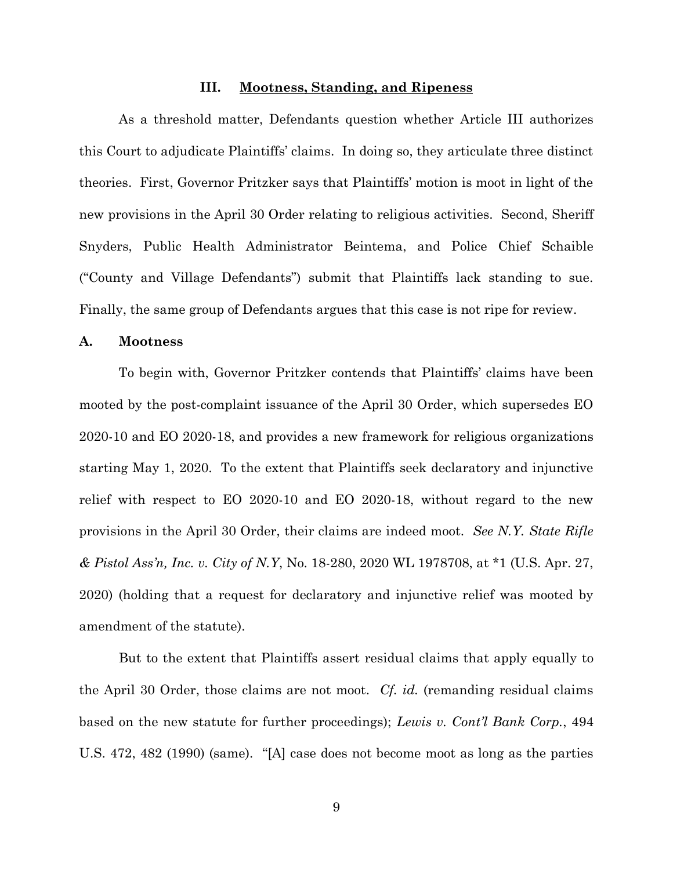### **III. Mootness, Standing, and Ripeness**

As a threshold matter, Defendants question whether Article III authorizes this Court to adjudicate Plaintiffs' claims. In doing so, they articulate three distinct theories. First, Governor Pritzker says that Plaintiffs' motion is moot in light of the new provisions in the April 30 Order relating to religious activities. Second, Sheriff Snyders, Public Health Administrator Beintema, and Police Chief Schaible ("County and Village Defendants") submit that Plaintiffs lack standing to sue. Finally, the same group of Defendants argues that this case is not ripe for review.

#### **A. Mootness**

To begin with, Governor Pritzker contends that Plaintiffs' claims have been mooted by the post-complaint issuance of the April 30 Order, which supersedes EO 2020-10 and EO 2020-18, and provides a new framework for religious organizations starting May 1, 2020. To the extent that Plaintiffs seek declaratory and injunctive relief with respect to EO 2020-10 and EO 2020-18, without regard to the new provisions in the April 30 Order, their claims are indeed moot. *See N.Y. State Rifle & Pistol Ass'n, Inc. v. City of N.Y*, No. 18-280, 2020 WL 1978708, at \*1 (U.S. Apr. 27, 2020) (holding that a request for declaratory and injunctive relief was mooted by amendment of the statute).

But to the extent that Plaintiffs assert residual claims that apply equally to the April 30 Order, those claims are not moot. *Cf. id.* (remanding residual claims based on the new statute for further proceedings); *Lewis v. Cont'l Bank Corp.*, 494 U.S. 472, 482 (1990) (same). "[A] case does not become moot as long as the parties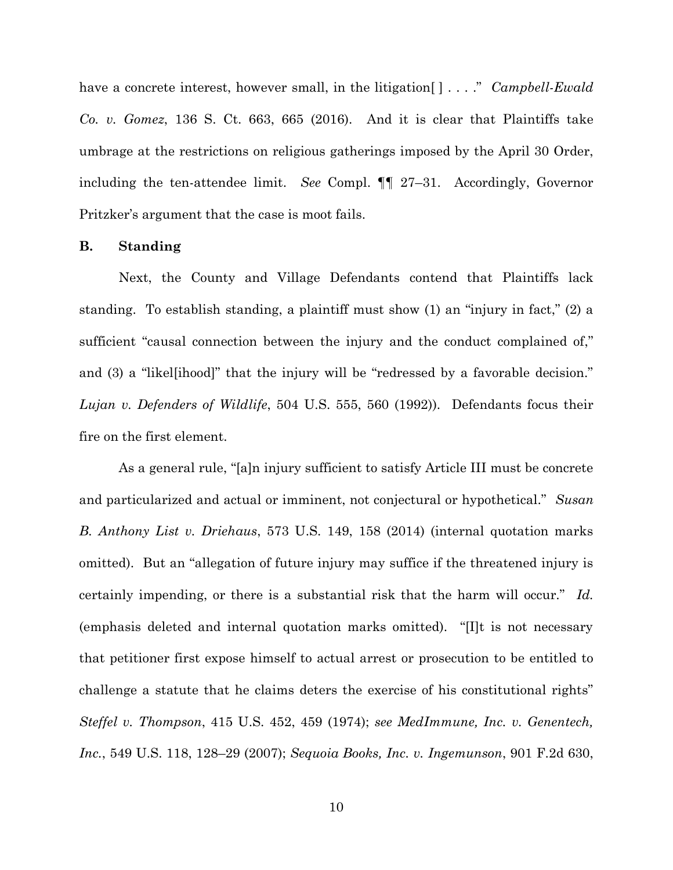have a concrete interest, however small, in the litigation[ ] . . . ." *Campbell-Ewald Co. v. Gomez*, 136 S. Ct. 663, 665 (2016). And it is clear that Plaintiffs take umbrage at the restrictions on religious gatherings imposed by the April 30 Order, including the ten-attendee limit. *See* Compl. ¶¶ 27–31. Accordingly, Governor Pritzker's argument that the case is moot fails.

#### **B. Standing**

Next, the County and Village Defendants contend that Plaintiffs lack standing. To establish standing, a plaintiff must show (1) an "injury in fact," (2) a sufficient "causal connection between the injury and the conduct complained of," and (3) a "likel[ihood]" that the injury will be "redressed by a favorable decision." *Lujan v. Defenders of Wildlife*, 504 U.S. 555, 560 (1992)). Defendants focus their fire on the first element.

As a general rule, "[a]n injury sufficient to satisfy Article III must be concrete and particularized and actual or imminent, not conjectural or hypothetical." *Susan B. Anthony List v. Driehaus*, 573 U.S. 149, 158 (2014) (internal quotation marks omitted). But an "allegation of future injury may suffice if the threatened injury is certainly impending, or there is a substantial risk that the harm will occur." *Id.* (emphasis deleted and internal quotation marks omitted). "[I]t is not necessary that petitioner first expose himself to actual arrest or prosecution to be entitled to challenge a statute that he claims deters the exercise of his constitutional rights" *Steffel v. Thompson*, 415 U.S. 452, 459 (1974); *see MedImmune, Inc. v. Genentech, Inc.*, 549 U.S. 118, 128–29 (2007); *Sequoia Books, Inc. v. Ingemunson*, 901 F.2d 630,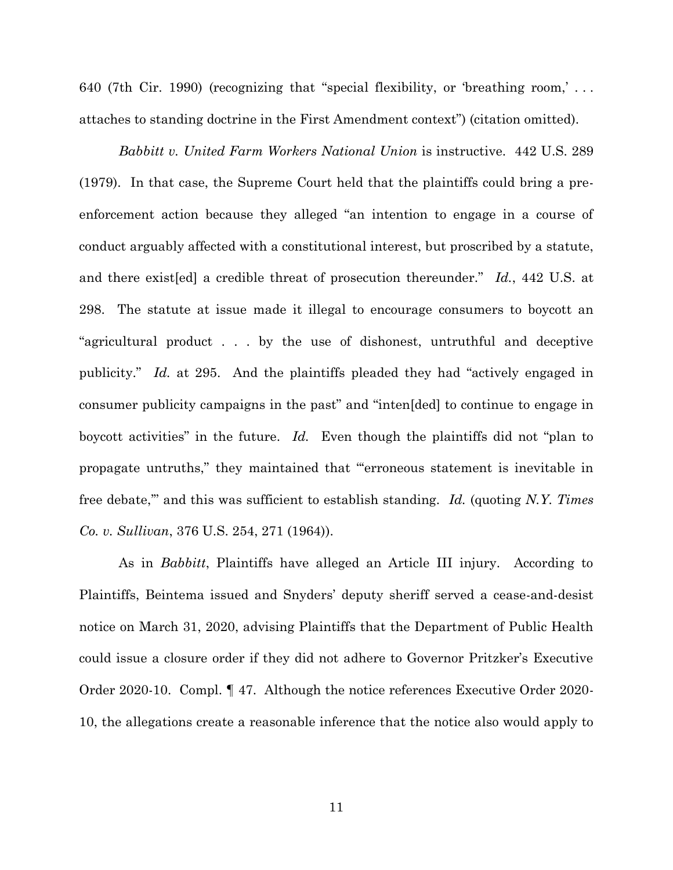640 (7th Cir. 1990) (recognizing that "special flexibility, or 'breathing room,' . . . attaches to standing doctrine in the First Amendment context") (citation omitted).

*Babbitt v. United Farm Workers National Union* is instructive. 442 U.S. 289 (1979). In that case, the Supreme Court held that the plaintiffs could bring a preenforcement action because they alleged "an intention to engage in a course of conduct arguably affected with a constitutional interest, but proscribed by a statute, and there exist[ed] a credible threat of prosecution thereunder." *Id.*, 442 U.S. at 298. The statute at issue made it illegal to encourage consumers to boycott an "agricultural product . . . by the use of dishonest, untruthful and deceptive publicity." *Id.* at 295. And the plaintiffs pleaded they had "actively engaged in consumer publicity campaigns in the past" and "inten[ded] to continue to engage in boycott activities" in the future. *Id.* Even though the plaintiffs did not "plan to propagate untruths," they maintained that "'erroneous statement is inevitable in free debate,'" and this was sufficient to establish standing. *Id.* (quoting *N.Y. Times Co. v. Sullivan*, 376 U.S. 254, 271 (1964)).

As in *Babbitt*, Plaintiffs have alleged an Article III injury. According to Plaintiffs, Beintema issued and Snyders' deputy sheriff served a cease-and-desist notice on March 31, 2020, advising Plaintiffs that the Department of Public Health could issue a closure order if they did not adhere to Governor Pritzker's Executive Order 2020-10. Compl. ¶ 47. Although the notice references Executive Order 2020- 10, the allegations create a reasonable inference that the notice also would apply to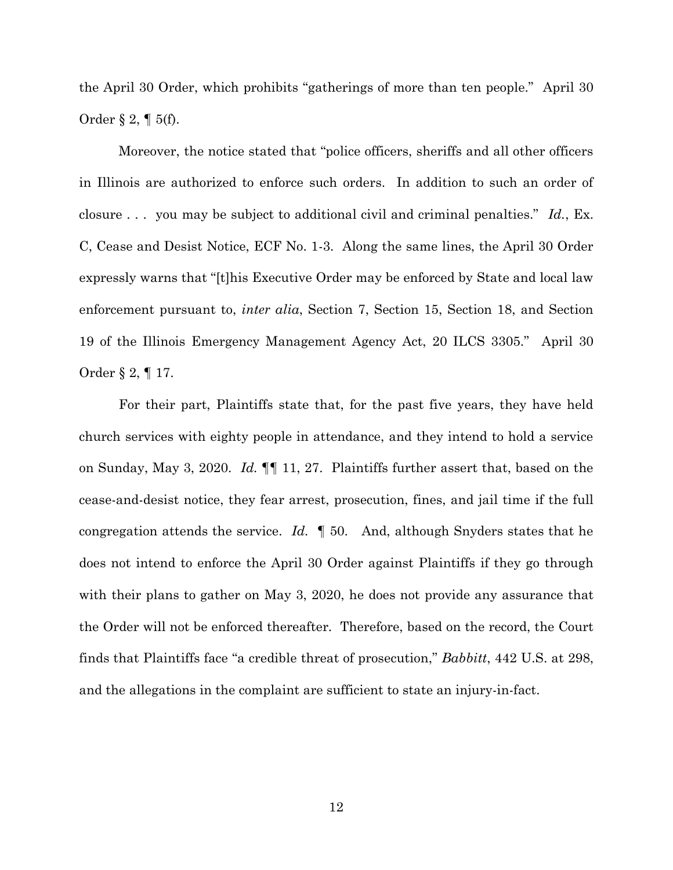the April 30 Order, which prohibits "gatherings of more than ten people." April 30 Order § 2, ¶ 5(f).

Moreover, the notice stated that "police officers, sheriffs and all other officers in Illinois are authorized to enforce such orders. In addition to such an order of closure . . . you may be subject to additional civil and criminal penalties." *Id.*, Ex. C, Cease and Desist Notice, ECF No. 1-3. Along the same lines, the April 30 Order expressly warns that "[t]his Executive Order may be enforced by State and local law enforcement pursuant to, *inter alia*, Section 7, Section 15, Section 18, and Section 19 of the Illinois Emergency Management Agency Act, 20 ILCS 3305." April 30 Order § 2, ¶ 17.

For their part, Plaintiffs state that, for the past five years, they have held church services with eighty people in attendance, and they intend to hold a service on Sunday, May 3, 2020. *Id.* ¶¶ 11, 27. Plaintiffs further assert that, based on the cease-and-desist notice, they fear arrest, prosecution, fines, and jail time if the full congregation attends the service. *Id.* ¶ 50. And, although Snyders states that he does not intend to enforce the April 30 Order against Plaintiffs if they go through with their plans to gather on May 3, 2020, he does not provide any assurance that the Order will not be enforced thereafter. Therefore, based on the record, the Court finds that Plaintiffs face "a credible threat of prosecution," *Babbitt*, 442 U.S. at 298, and the allegations in the complaint are sufficient to state an injury-in-fact.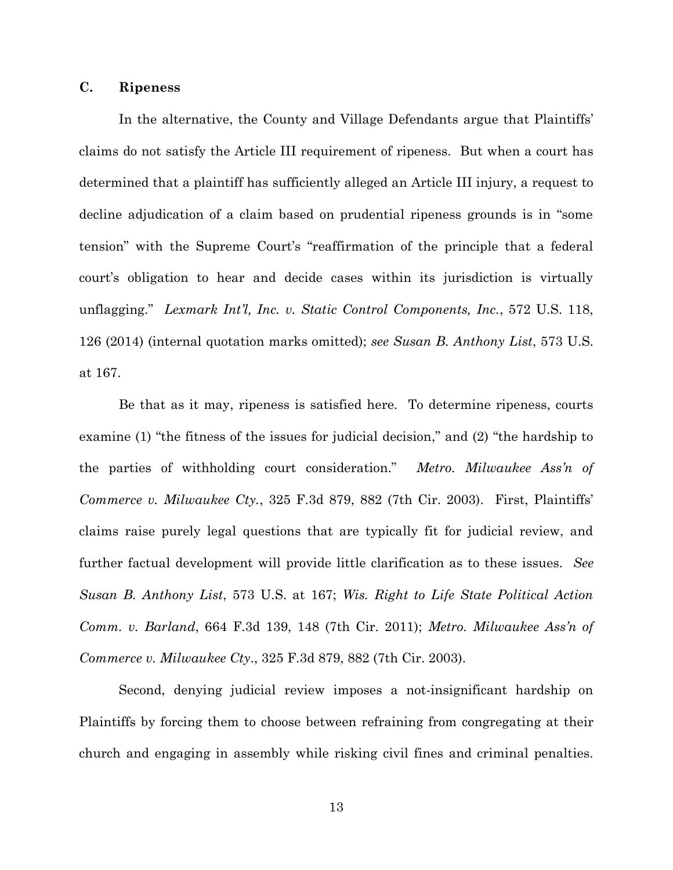# **C. Ripeness**

In the alternative, the County and Village Defendants argue that Plaintiffs' claims do not satisfy the Article III requirement of ripeness. But when a court has determined that a plaintiff has sufficiently alleged an Article III injury, a request to decline adjudication of a claim based on prudential ripeness grounds is in "some tension" with the Supreme Court's "reaffirmation of the principle that a federal court's obligation to hear and decide cases within its jurisdiction is virtually unflagging." *Lexmark Int'l, Inc. v. Static Control Components, Inc.*, 572 U.S. 118, 126 (2014) (internal quotation marks omitted); *see Susan B. Anthony List*, 573 U.S. at 167.

Be that as it may, ripeness is satisfied here. To determine ripeness, courts examine (1) "the fitness of the issues for judicial decision," and (2) "the hardship to the parties of withholding court consideration." *Metro. Milwaukee Ass'n of Commerce v. Milwaukee Cty.*, 325 F.3d 879, 882 (7th Cir. 2003). First, Plaintiffs' claims raise purely legal questions that are typically fit for judicial review, and further factual development will provide little clarification as to these issues. *See Susan B. Anthony List*, 573 U.S. at 167; *Wis. Right to Life State Political Action Comm. v. Barland*, 664 F.3d 139, 148 (7th Cir. 2011); *Metro. Milwaukee Ass'n of Commerce v. Milwaukee Cty*., 325 F.3d 879, 882 (7th Cir. 2003).

Second, denying judicial review imposes a not-insignificant hardship on Plaintiffs by forcing them to choose between refraining from congregating at their church and engaging in assembly while risking civil fines and criminal penalties.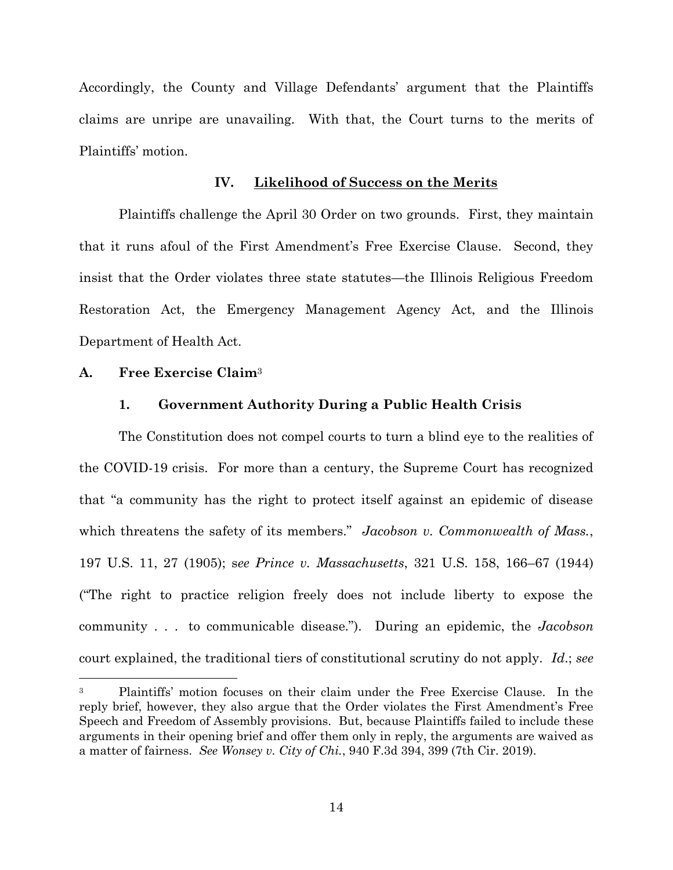Accordingly, the County and Village Defendants' argument that the Plaintiffs claims are unripe are unavailing. With that, the Court turns to the merits of Plaintiffs' motion.

# **IV. Likelihood of Success on the Merits**

Plaintiffs challenge the April 30 Order on two grounds. First, they maintain that it runs afoul of the First Amendment's Free Exercise Clause. Second, they insist that the Order violates three state statutes—the Illinois Religious Freedom Restoration Act, the Emergency Management Agency Act, and the Illinois Department of Health Act.

#### **A. Free Exercise Claim**<sup>3</sup>

# **1. Government Authority During a Public Health Crisis**

The Constitution does not compel courts to turn a blind eye to the realities of the COVID-19 crisis. For more than a century, the Supreme Court has recognized that "a community has the right to protect itself against an epidemic of disease which threatens the safety of its members." *Jacobson v. Commonwealth of Mass.*, 197 U.S. 11, 27 (1905); s*ee Prince v. Massachusetts*, 321 U.S. 158, 166–67 (1944) ("The right to practice religion freely does not include liberty to expose the community . . . to communicable disease."). During an epidemic, the *Jacobson* court explained, the traditional tiers of constitutional scrutiny do not apply. *Id*.; *see* 

<sup>3</sup> Plaintiffs' motion focuses on their claim under the Free Exercise Clause. In the reply brief, however, they also argue that the Order violates the First Amendment's Free Speech and Freedom of Assembly provisions. But, because Plaintiffs failed to include these arguments in their opening brief and offer them only in reply, the arguments are waived as a matter of fairness. *See Wonsey v. City of Chi.*, 940 F.3d 394, 399 (7th Cir. 2019).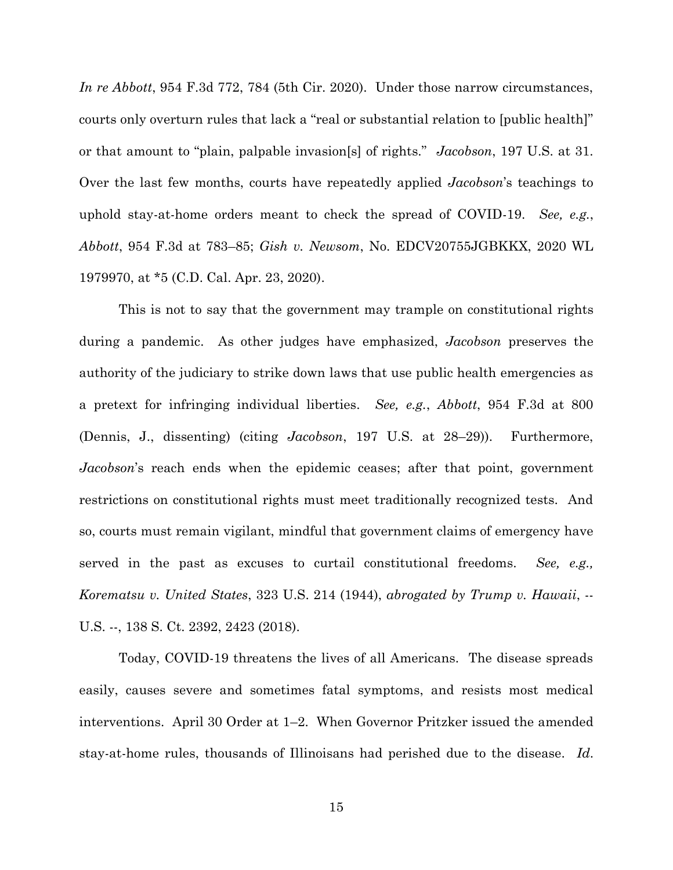*In re Abbott*, 954 F.3d 772, 784 (5th Cir. 2020). Under those narrow circumstances, courts only overturn rules that lack a "real or substantial relation to [public health]" or that amount to "plain, palpable invasion[s] of rights." *Jacobson*, 197 U.S. at 31. Over the last few months, courts have repeatedly applied *Jacobson*'s teachings to uphold stay-at-home orders meant to check the spread of COVID-19. *See, e.g.*, *Abbott*, 954 F.3d at 783–85; *Gish v. Newsom*, No. EDCV20755JGBKKX, 2020 WL 1979970, at \*5 (C.D. Cal. Apr. 23, 2020).

This is not to say that the government may trample on constitutional rights during a pandemic. As other judges have emphasized, *Jacobson* preserves the authority of the judiciary to strike down laws that use public health emergencies as a pretext for infringing individual liberties. *See, e.g.*, *Abbott*, 954 F.3d at 800 (Dennis, J., dissenting) (citing *Jacobson*, 197 U.S. at 28–29)). Furthermore, *Jacobson*'s reach ends when the epidemic ceases; after that point, government restrictions on constitutional rights must meet traditionally recognized tests. And so, courts must remain vigilant, mindful that government claims of emergency have served in the past as excuses to curtail constitutional freedoms. *See, e.g., Korematsu v. United States*, 323 U.S. 214 (1944), *abrogated by Trump v. Hawaii*, -- U.S. --, 138 S. Ct. 2392, 2423 (2018).

Today, COVID-19 threatens the lives of all Americans. The disease spreads easily, causes severe and sometimes fatal symptoms, and resists most medical interventions. April 30 Order at 1–2. When Governor Pritzker issued the amended stay-at-home rules, thousands of Illinoisans had perished due to the disease. *Id*.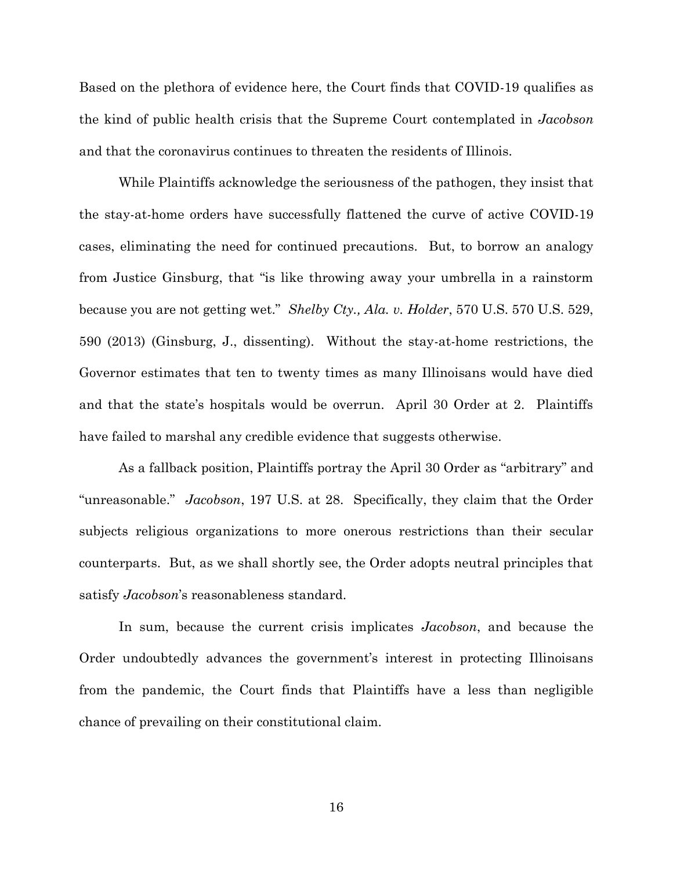Based on the plethora of evidence here, the Court finds that COVID-19 qualifies as the kind of public health crisis that the Supreme Court contemplated in *Jacobson* and that the coronavirus continues to threaten the residents of Illinois.

While Plaintiffs acknowledge the seriousness of the pathogen, they insist that the stay-at-home orders have successfully flattened the curve of active COVID-19 cases, eliminating the need for continued precautions. But, to borrow an analogy from Justice Ginsburg, that "is like throwing away your umbrella in a rainstorm because you are not getting wet." *Shelby Cty., Ala. v. Holder*, 570 U.S. 570 U.S. 529, 590 (2013) (Ginsburg, J., dissenting). Without the stay-at-home restrictions, the Governor estimates that ten to twenty times as many Illinoisans would have died and that the state's hospitals would be overrun. April 30 Order at 2. Plaintiffs have failed to marshal any credible evidence that suggests otherwise.

As a fallback position, Plaintiffs portray the April 30 Order as "arbitrary" and "unreasonable." *Jacobson*, 197 U.S. at 28. Specifically, they claim that the Order subjects religious organizations to more onerous restrictions than their secular counterparts. But, as we shall shortly see, the Order adopts neutral principles that satisfy *Jacobson*'s reasonableness standard.

In sum, because the current crisis implicates *Jacobson*, and because the Order undoubtedly advances the government's interest in protecting Illinoisans from the pandemic, the Court finds that Plaintiffs have a less than negligible chance of prevailing on their constitutional claim.

16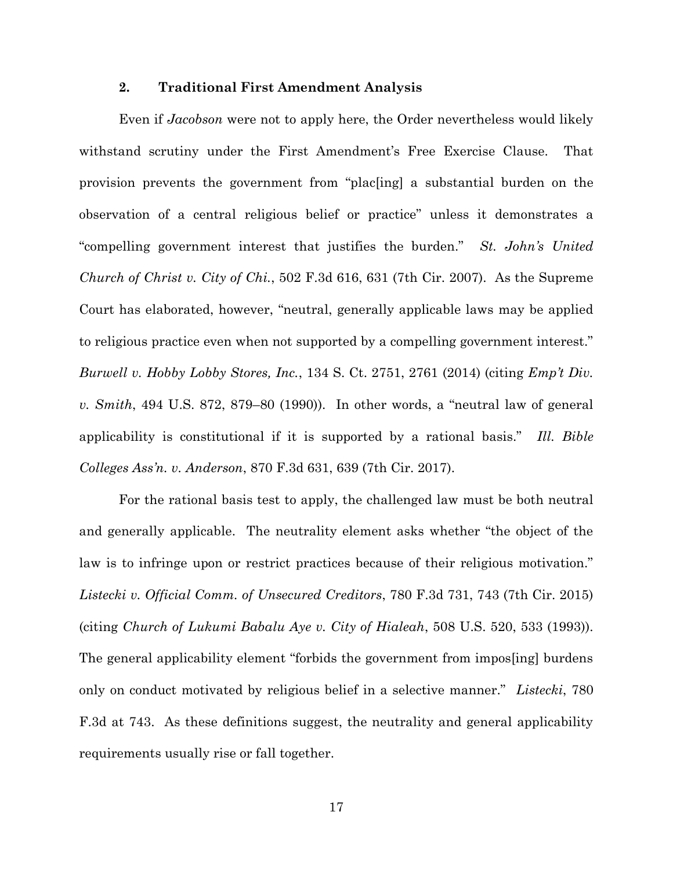## **2. Traditional First Amendment Analysis**

Even if *Jacobson* were not to apply here, the Order nevertheless would likely withstand scrutiny under the First Amendment's Free Exercise Clause. That provision prevents the government from "plac[ing] a substantial burden on the observation of a central religious belief or practice" unless it demonstrates a "compelling government interest that justifies the burden." *St. John's United Church of Christ v. City of Chi.*, 502 F.3d 616, 631 (7th Cir. 2007). As the Supreme Court has elaborated, however, "neutral, generally applicable laws may be applied to religious practice even when not supported by a compelling government interest." *Burwell v. Hobby Lobby Stores, Inc.*, 134 S. Ct. 2751, 2761 (2014) (citing *Emp't Div. v. Smith*, 494 U.S. 872, 879–80 (1990)). In other words, a "neutral law of general applicability is constitutional if it is supported by a rational basis." *Ill. Bible Colleges Ass'n. v. Anderson*, 870 F.3d 631, 639 (7th Cir. 2017).

For the rational basis test to apply, the challenged law must be both neutral and generally applicable. The neutrality element asks whether "the object of the law is to infringe upon or restrict practices because of their religious motivation." *Listecki v. Official Comm. of Unsecured Creditors*, 780 F.3d 731, 743 (7th Cir. 2015) (citing *Church of Lukumi Babalu Aye v. City of Hialeah*, 508 U.S. 520, 533 (1993)). The general applicability element "forbids the government from impos[ing] burdens only on conduct motivated by religious belief in a selective manner." *Listecki*, 780 F.3d at 743. As these definitions suggest, the neutrality and general applicability requirements usually rise or fall together.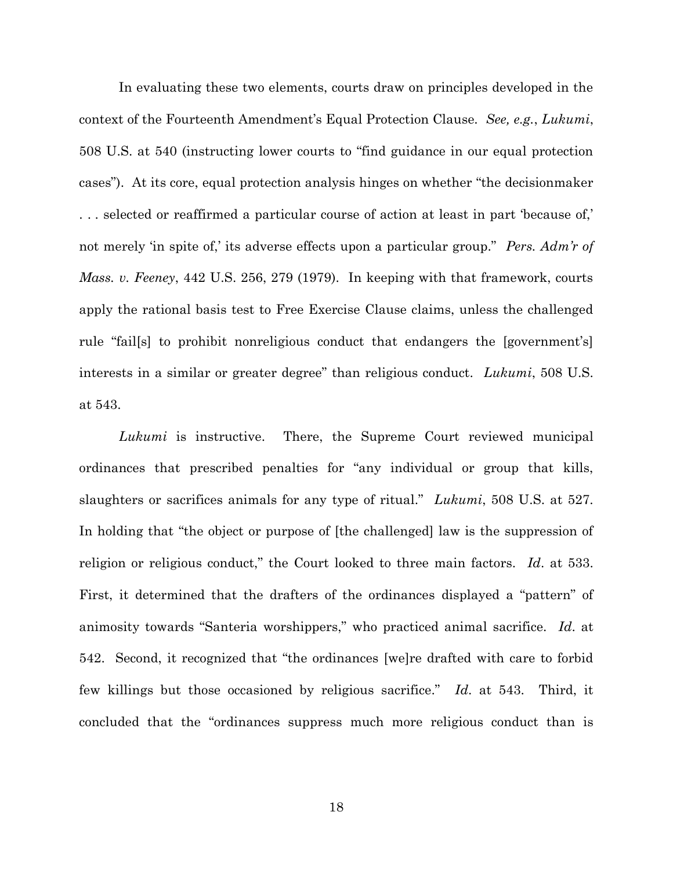In evaluating these two elements, courts draw on principles developed in the context of the Fourteenth Amendment's Equal Protection Clause. *See, e.g.*, *Lukumi*, 508 U.S. at 540 (instructing lower courts to "find guidance in our equal protection cases"). At its core, equal protection analysis hinges on whether "the decisionmaker . . . selected or reaffirmed a particular course of action at least in part 'because of,' not merely 'in spite of,' its adverse effects upon a particular group." *Pers. Adm'r of Mass. v. Feeney*, 442 U.S. 256, 279 (1979). In keeping with that framework, courts apply the rational basis test to Free Exercise Clause claims, unless the challenged rule "fail[s] to prohibit nonreligious conduct that endangers the [government's] interests in a similar or greater degree" than religious conduct. *Lukumi*, 508 U.S. at 543.

*Lukumi* is instructive. There, the Supreme Court reviewed municipal ordinances that prescribed penalties for "any individual or group that kills, slaughters or sacrifices animals for any type of ritual." *Lukumi*, 508 U.S. at 527. In holding that "the object or purpose of [the challenged] law is the suppression of religion or religious conduct," the Court looked to three main factors. *Id*. at 533. First, it determined that the drafters of the ordinances displayed a "pattern" of animosity towards "Santeria worshippers," who practiced animal sacrifice. *Id*. at 542. Second, it recognized that "the ordinances [we]re drafted with care to forbid few killings but those occasioned by religious sacrifice." *Id*. at 543. Third, it concluded that the "ordinances suppress much more religious conduct than is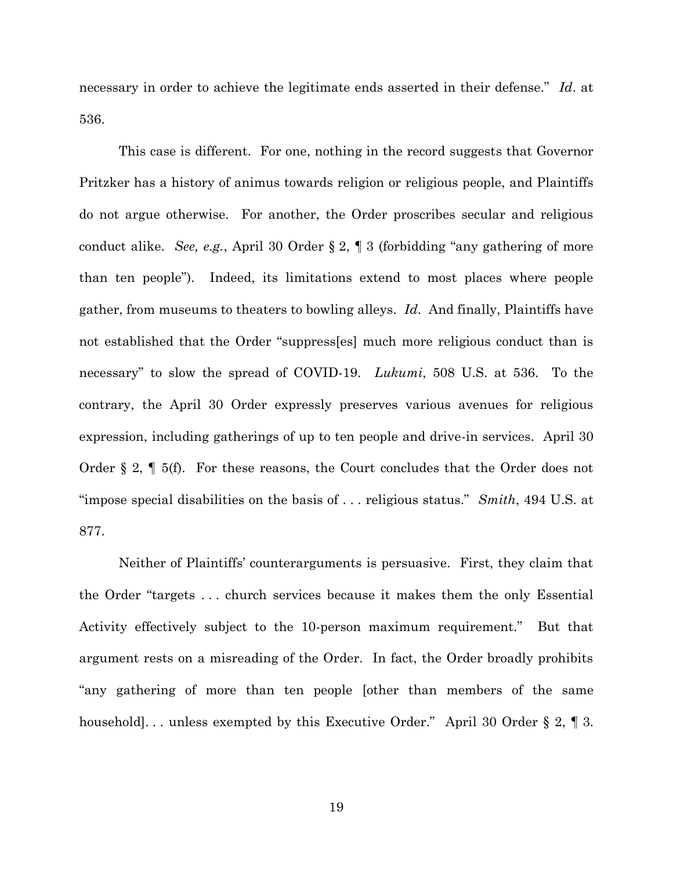necessary in order to achieve the legitimate ends asserted in their defense." *Id*. at 536.

This case is different. For one, nothing in the record suggests that Governor Pritzker has a history of animus towards religion or religious people, and Plaintiffs do not argue otherwise. For another, the Order proscribes secular and religious conduct alike. *See, e.g.*, April 30 Order § 2, ¶ 3 (forbidding "any gathering of more than ten people"). Indeed, its limitations extend to most places where people gather, from museums to theaters to bowling alleys. *Id*. And finally, Plaintiffs have not established that the Order "suppress[es] much more religious conduct than is necessary" to slow the spread of COVID-19. *Lukumi*, 508 U.S. at 536. To the contrary, the April 30 Order expressly preserves various avenues for religious expression, including gatherings of up to ten people and drive-in services. April 30 Order § 2, ¶ 5(f). For these reasons, the Court concludes that the Order does not "impose special disabilities on the basis of . . . religious status." *Smith*, 494 U.S. at 877.

Neither of Plaintiffs' counterarguments is persuasive. First, they claim that the Order "targets . . . church services because it makes them the only Essential Activity effectively subject to the 10-person maximum requirement." But that argument rests on a misreading of the Order. In fact, the Order broadly prohibits "any gathering of more than ten people [other than members of the same household]... unless exempted by this Executive Order." April 30 Order § 2, ¶ 3.

19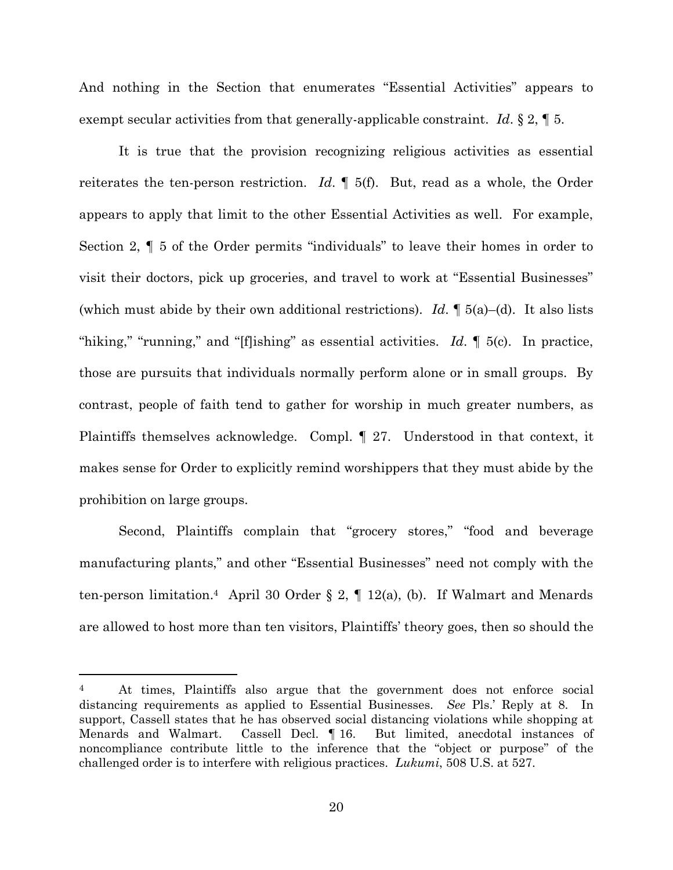And nothing in the Section that enumerates "Essential Activities" appears to exempt secular activities from that generally-applicable constraint. *Id*. § 2, ¶ 5.

It is true that the provision recognizing religious activities as essential reiterates the ten-person restriction. *Id*. ¶ 5(f). But, read as a whole, the Order appears to apply that limit to the other Essential Activities as well. For example, Section 2, ¶ 5 of the Order permits "individuals" to leave their homes in order to visit their doctors, pick up groceries, and travel to work at "Essential Businesses" (which must abide by their own additional restrictions). *Id*. ¶ 5(a)–(d). It also lists "hiking," "running," and "[f]ishing" as essential activities. *Id*. ¶ 5(c). In practice, those are pursuits that individuals normally perform alone or in small groups. By contrast, people of faith tend to gather for worship in much greater numbers, as Plaintiffs themselves acknowledge. Compl. ¶ 27. Understood in that context, it makes sense for Order to explicitly remind worshippers that they must abide by the prohibition on large groups.

Second, Plaintiffs complain that "grocery stores," "food and beverage manufacturing plants," and other "Essential Businesses" need not comply with the ten-person limitation.<sup>4</sup> April 30 Order § 2,  $\P$  12(a), (b). If Walmart and Menards are allowed to host more than ten visitors, Plaintiffs' theory goes, then so should the

<sup>4</sup> At times, Plaintiffs also argue that the government does not enforce social distancing requirements as applied to Essential Businesses. *See* Pls.' Reply at 8. In support, Cassell states that he has observed social distancing violations while shopping at Menards and Walmart. Cassell Decl. ¶ 16. But limited, anecdotal instances of noncompliance contribute little to the inference that the "object or purpose" of the challenged order is to interfere with religious practices. *Lukumi*, 508 U.S. at 527.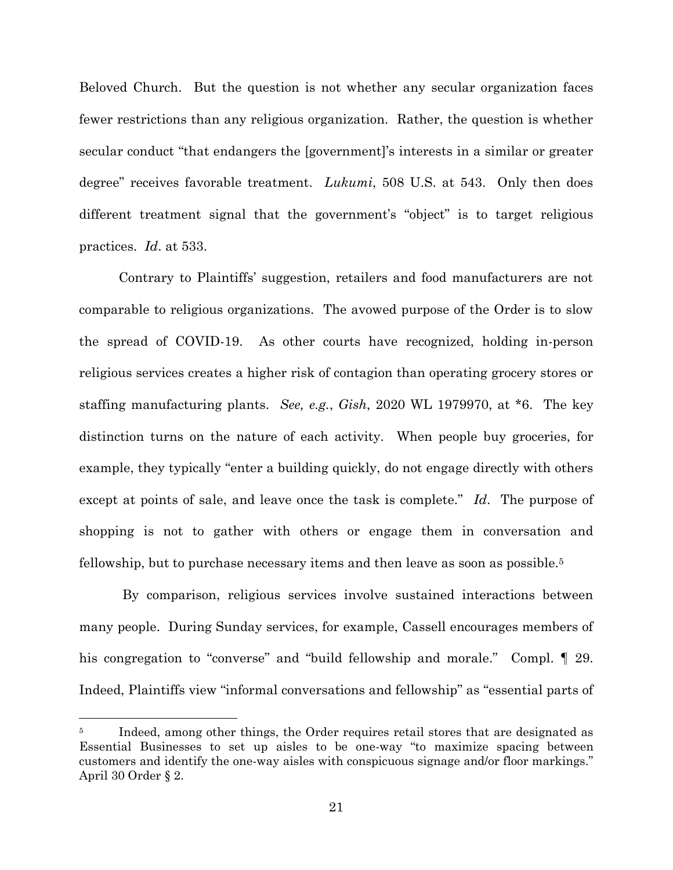Beloved Church. But the question is not whether any secular organization faces fewer restrictions than any religious organization. Rather, the question is whether secular conduct "that endangers the [government]'s interests in a similar or greater degree" receives favorable treatment. *Lukumi*, 508 U.S. at 543. Only then does different treatment signal that the government's "object" is to target religious practices. *Id*. at 533.

Contrary to Plaintiffs' suggestion, retailers and food manufacturers are not comparable to religious organizations. The avowed purpose of the Order is to slow the spread of COVID-19. As other courts have recognized, holding in-person religious services creates a higher risk of contagion than operating grocery stores or staffing manufacturing plants. *See, e.g.*, *Gish*, 2020 WL 1979970, at \*6. The key distinction turns on the nature of each activity. When people buy groceries, for example, they typically "enter a building quickly, do not engage directly with others except at points of sale, and leave once the task is complete." *Id*. The purpose of shopping is not to gather with others or engage them in conversation and fellowship, but to purchase necessary items and then leave as soon as possible.<sup>5</sup>

By comparison, religious services involve sustained interactions between many people. During Sunday services, for example, Cassell encourages members of his congregation to "converse" and "build fellowship and morale." Compl. ¶ 29. Indeed, Plaintiffs view "informal conversations and fellowship" as "essential parts of

Indeed, among other things, the Order requires retail stores that are designated as Essential Businesses to set up aisles to be one-way "to maximize spacing between customers and identify the one-way aisles with conspicuous signage and/or floor markings." April 30 Order § 2.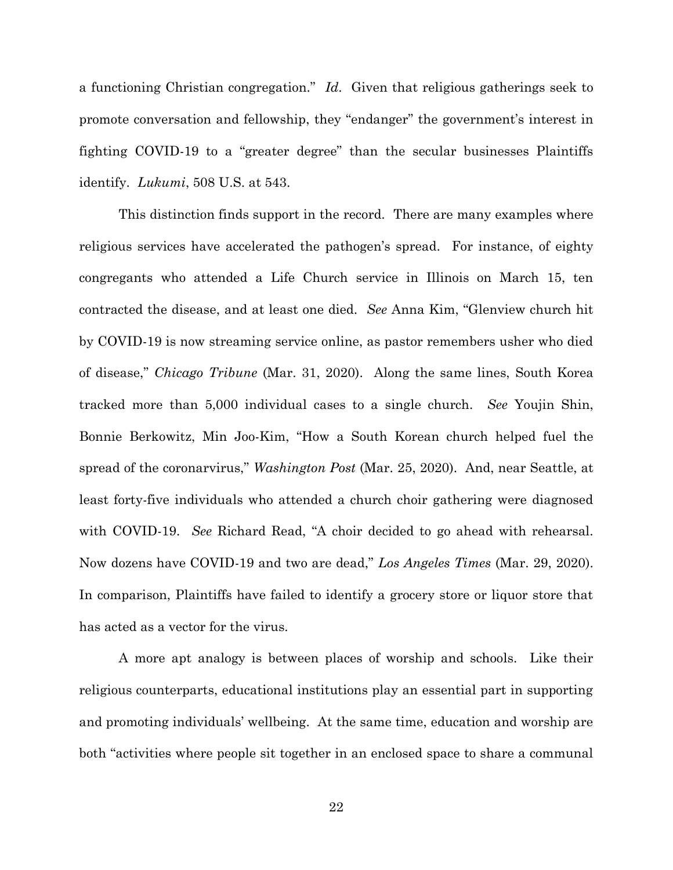a functioning Christian congregation." *Id*. Given that religious gatherings seek to promote conversation and fellowship, they "endanger" the government's interest in fighting COVID-19 to a "greater degree" than the secular businesses Plaintiffs identify. *Lukumi*, 508 U.S. at 543.

This distinction finds support in the record. There are many examples where religious services have accelerated the pathogen's spread. For instance, of eighty congregants who attended a Life Church service in Illinois on March 15, ten contracted the disease, and at least one died. *See* Anna Kim, "Glenview church hit by COVID-19 is now streaming service online, as pastor remembers usher who died of disease," *Chicago Tribune* (Mar. 31, 2020). Along the same lines, South Korea tracked more than 5,000 individual cases to a single church. *See* Youjin Shin, Bonnie Berkowitz, Min Joo-Kim, "How a South Korean church helped fuel the spread of the coronarvirus," *Washington Post* (Mar. 25, 2020). And, near Seattle, at least forty-five individuals who attended a church choir gathering were diagnosed with COVID-19. *See* Richard Read, "A choir decided to go ahead with rehearsal. Now dozens have COVID-19 and two are dead," *Los Angeles Times* (Mar. 29, 2020). In comparison, Plaintiffs have failed to identify a grocery store or liquor store that has acted as a vector for the virus.

A more apt analogy is between places of worship and schools. Like their religious counterparts, educational institutions play an essential part in supporting and promoting individuals' wellbeing. At the same time, education and worship are both "activities where people sit together in an enclosed space to share a communal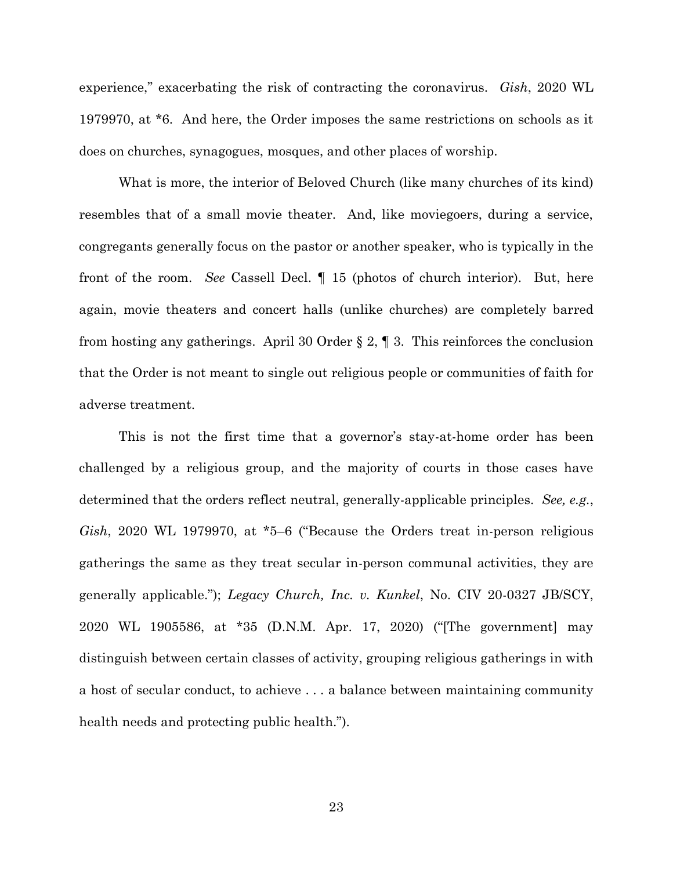experience," exacerbating the risk of contracting the coronavirus. *Gish*, 2020 WL 1979970, at \*6. And here, the Order imposes the same restrictions on schools as it does on churches, synagogues, mosques, and other places of worship.

What is more, the interior of Beloved Church (like many churches of its kind) resembles that of a small movie theater. And, like moviegoers, during a service, congregants generally focus on the pastor or another speaker, who is typically in the front of the room. *See* Cassell Decl. ¶ 15 (photos of church interior). But, here again, movie theaters and concert halls (unlike churches) are completely barred from hosting any gatherings. April 30 Order § 2, ¶ 3. This reinforces the conclusion that the Order is not meant to single out religious people or communities of faith for adverse treatment.

This is not the first time that a governor's stay-at-home order has been challenged by a religious group, and the majority of courts in those cases have determined that the orders reflect neutral, generally-applicable principles. *See, e.g.*, *Gish*, 2020 WL 1979970, at \*5–6 ("Because the Orders treat in-person religious gatherings the same as they treat secular in-person communal activities, they are generally applicable."); *Legacy Church, Inc. v. Kunkel*, No. CIV 20-0327 JB/SCY, 2020 WL 1905586, at \*35 (D.N.M. Apr. 17, 2020) ("[The government] may distinguish between certain classes of activity, grouping religious gatherings in with a host of secular conduct, to achieve . . . a balance between maintaining community health needs and protecting public health.").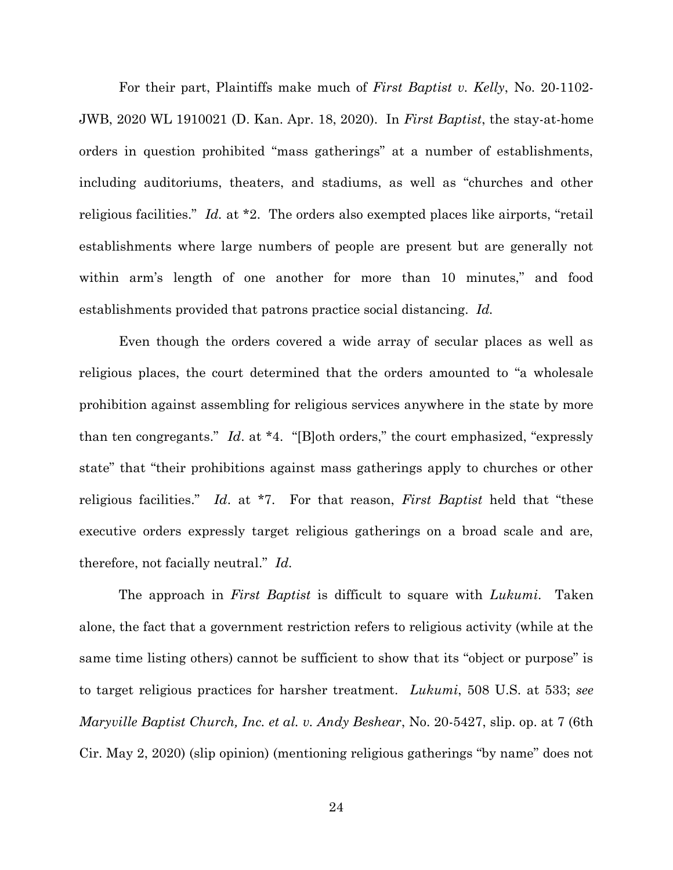For their part, Plaintiffs make much of *First Baptist v. Kelly*, No. 20-1102- JWB, 2020 WL 1910021 (D. Kan. Apr. 18, 2020). In *First Baptist*, the stay-at-home orders in question prohibited "mass gatherings" at a number of establishments, including auditoriums, theaters, and stadiums, as well as "churches and other religious facilities." *Id.* at \*2. The orders also exempted places like airports, "retail establishments where large numbers of people are present but are generally not within arm's length of one another for more than 10 minutes," and food establishments provided that patrons practice social distancing. *Id.* 

Even though the orders covered a wide array of secular places as well as religious places, the court determined that the orders amounted to "a wholesale prohibition against assembling for religious services anywhere in the state by more than ten congregants." *Id*. at \*4. "[B]oth orders," the court emphasized, "expressly state" that "their prohibitions against mass gatherings apply to churches or other religious facilities." *Id*. at \*7. For that reason, *First Baptist* held that "these executive orders expressly target religious gatherings on a broad scale and are, therefore, not facially neutral." *Id*.

The approach in *First Baptist* is difficult to square with *Lukumi*. Taken alone, the fact that a government restriction refers to religious activity (while at the same time listing others) cannot be sufficient to show that its "object or purpose" is to target religious practices for harsher treatment. *Lukumi*, 508 U.S. at 533; *see Maryville Baptist Church, Inc. et al. v. Andy Beshear*, No. 20-5427, slip. op. at 7 (6th Cir. May 2, 2020) (slip opinion) (mentioning religious gatherings "by name" does not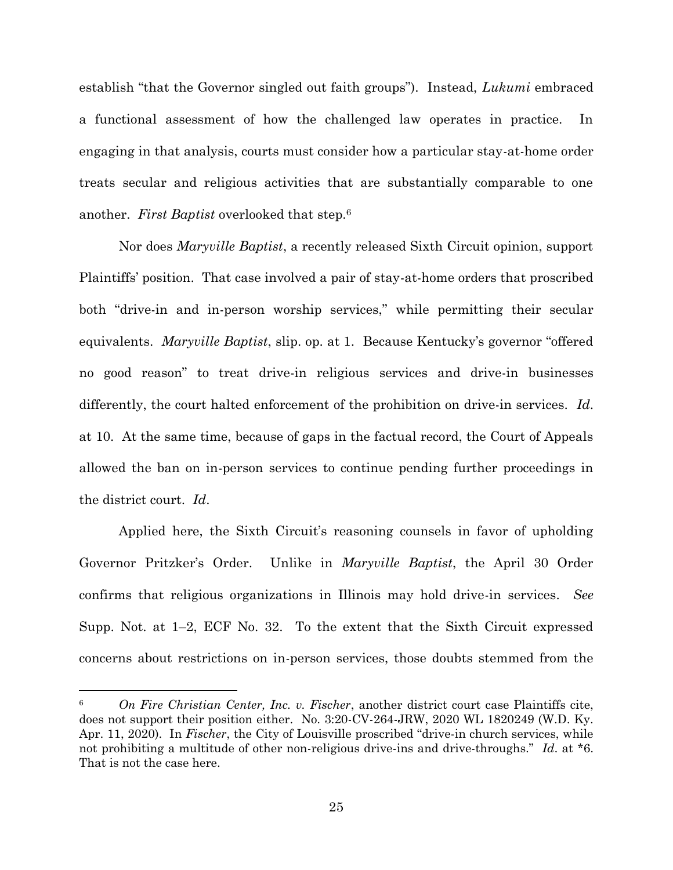establish "that the Governor singled out faith groups"). Instead, *Lukumi* embraced a functional assessment of how the challenged law operates in practice. In engaging in that analysis, courts must consider how a particular stay-at-home order treats secular and religious activities that are substantially comparable to one another. *First Baptist* overlooked that step.<sup>6</sup>

Nor does *Maryville Baptist*, a recently released Sixth Circuit opinion, support Plaintiffs' position. That case involved a pair of stay-at-home orders that proscribed both "drive-in and in-person worship services," while permitting their secular equivalents. *Maryville Baptist*, slip. op. at 1. Because Kentucky's governor "offered no good reason" to treat drive-in religious services and drive-in businesses differently, the court halted enforcement of the prohibition on drive-in services. *Id*. at 10. At the same time, because of gaps in the factual record, the Court of Appeals allowed the ban on in-person services to continue pending further proceedings in the district court. *Id*.

Applied here, the Sixth Circuit's reasoning counsels in favor of upholding Governor Pritzker's Order. Unlike in *Maryville Baptist*, the April 30 Order confirms that religious organizations in Illinois may hold drive-in services. *See* Supp. Not. at 1–2, ECF No. 32. To the extent that the Sixth Circuit expressed concerns about restrictions on in-person services, those doubts stemmed from the

<sup>6</sup> *On Fire Christian Center, Inc. v. Fischer*, another district court case Plaintiffs cite, does not support their position either. No. 3:20-CV-264-JRW, 2020 WL 1820249 (W.D. Ky. Apr. 11, 2020). In *Fischer*, the City of Louisville proscribed "drive-in church services, while not prohibiting a multitude of other non-religious drive-ins and drive-throughs." *Id*. at \*6. That is not the case here.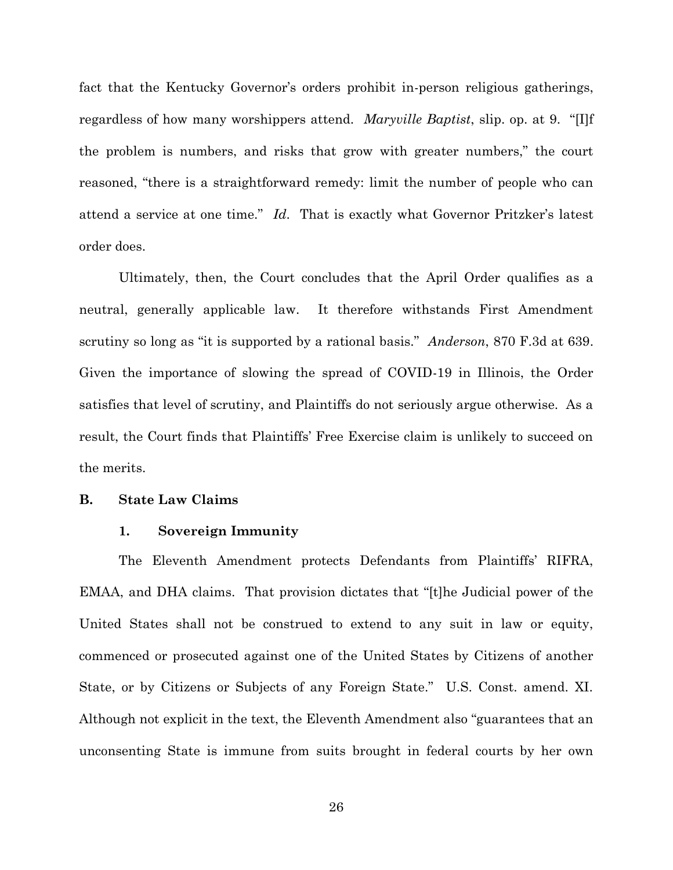fact that the Kentucky Governor's orders prohibit in-person religious gatherings, regardless of how many worshippers attend. *Maryville Baptist*, slip. op. at 9. "[I]f the problem is numbers, and risks that grow with greater numbers," the court reasoned, "there is a straightforward remedy: limit the number of people who can attend a service at one time." *Id*. That is exactly what Governor Pritzker's latest order does.

Ultimately, then, the Court concludes that the April Order qualifies as a neutral, generally applicable law. It therefore withstands First Amendment scrutiny so long as "it is supported by a rational basis." *Anderson*, 870 F.3d at 639. Given the importance of slowing the spread of COVID-19 in Illinois, the Order satisfies that level of scrutiny, and Plaintiffs do not seriously argue otherwise. As a result, the Court finds that Plaintiffs' Free Exercise claim is unlikely to succeed on the merits.

## **B. State Law Claims**

# **1. Sovereign Immunity**

The Eleventh Amendment protects Defendants from Plaintiffs' RIFRA, EMAA, and DHA claims. That provision dictates that "[t]he Judicial power of the United States shall not be construed to extend to any suit in law or equity, commenced or prosecuted against one of the United States by Citizens of another State, or by Citizens or Subjects of any Foreign State." U.S. Const. amend. XI. Although not explicit in the text, the Eleventh Amendment also "guarantees that an unconsenting State is immune from suits brought in federal courts by her own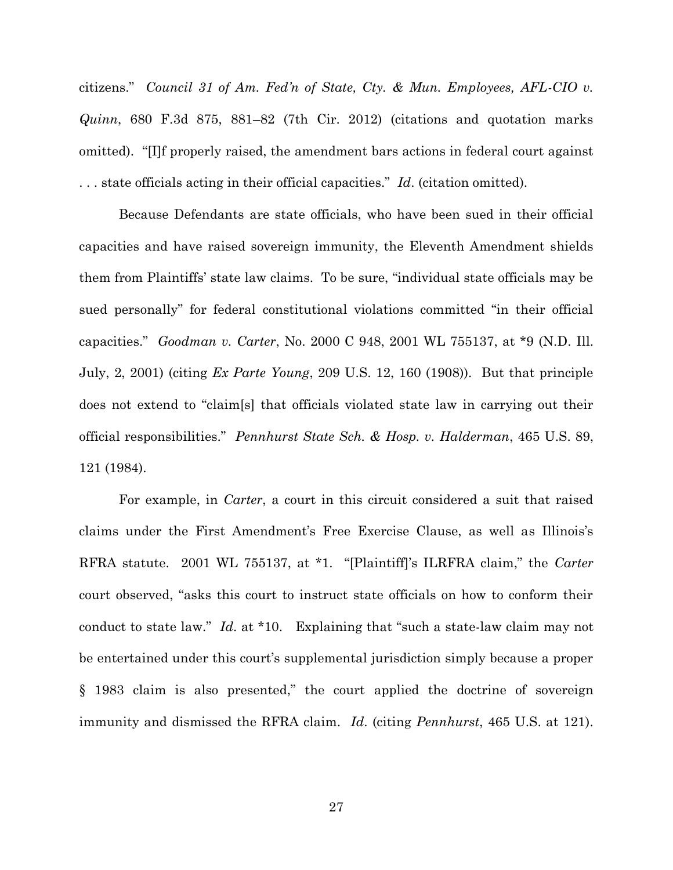citizens." *Council 31 of Am. Fed'n of State, Cty. & Mun. Employees, AFL-CIO v. Quinn*, 680 F.3d 875, 881–82 (7th Cir. 2012) (citations and quotation marks omitted). "[I]f properly raised, the amendment bars actions in federal court against . . . state officials acting in their official capacities." *Id*. (citation omitted).

Because Defendants are state officials, who have been sued in their official capacities and have raised sovereign immunity, the Eleventh Amendment shields them from Plaintiffs' state law claims. To be sure, "individual state officials may be sued personally" for federal constitutional violations committed "in their official capacities." *Goodman v. Carter*, No. 2000 C 948, 2001 WL 755137, at \*9 (N.D. Ill. July, 2, 2001) (citing *Ex Parte Young*, 209 U.S. 12, 160 (1908)). But that principle does not extend to "claim[s] that officials violated state law in carrying out their official responsibilities." *Pennhurst State Sch. & Hosp. v. Halderman*, 465 U.S. 89, 121 (1984).

For example, in *Carter*, a court in this circuit considered a suit that raised claims under the First Amendment's Free Exercise Clause, as well as Illinois's RFRA statute. 2001 WL 755137, at \*1. "[Plaintiff]'s ILRFRA claim," the *Carter* court observed, "asks this court to instruct state officials on how to conform their conduct to state law." *Id*. at \*10. Explaining that "such a state-law claim may not be entertained under this court's supplemental jurisdiction simply because a proper § 1983 claim is also presented," the court applied the doctrine of sovereign immunity and dismissed the RFRA claim. *Id*. (citing *Pennhurst*, 465 U.S. at 121).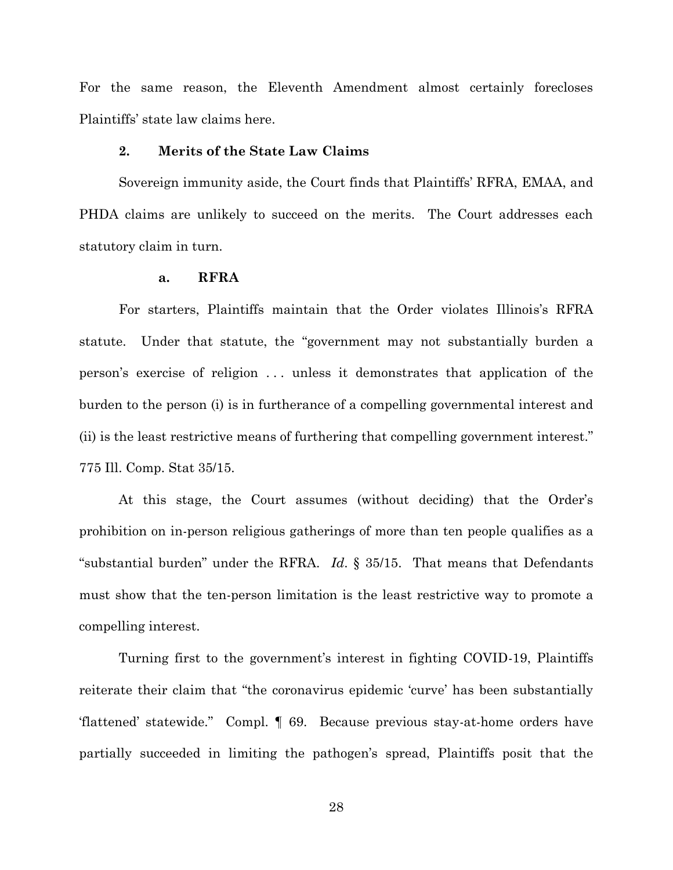For the same reason, the Eleventh Amendment almost certainly forecloses Plaintiffs' state law claims here.

# **2. Merits of the State Law Claims**

Sovereign immunity aside, the Court finds that Plaintiffs' RFRA, EMAA, and PHDA claims are unlikely to succeed on the merits. The Court addresses each statutory claim in turn.

# **a. RFRA**

For starters, Plaintiffs maintain that the Order violates Illinois's RFRA statute. Under that statute, the "government may not substantially burden a person's exercise of religion . . . unless it demonstrates that application of the burden to the person (i) is in furtherance of a compelling governmental interest and (ii) is the least restrictive means of furthering that compelling government interest." 775 Ill. Comp. Stat 35/15.

At this stage, the Court assumes (without deciding) that the Order's prohibition on in-person religious gatherings of more than ten people qualifies as a "substantial burden" under the RFRA. *Id*. § 35/15. That means that Defendants must show that the ten-person limitation is the least restrictive way to promote a compelling interest.

Turning first to the government's interest in fighting COVID-19, Plaintiffs reiterate their claim that "the coronavirus epidemic 'curve' has been substantially 'flattened' statewide." Compl. ¶ 69. Because previous stay-at-home orders have partially succeeded in limiting the pathogen's spread, Plaintiffs posit that the

28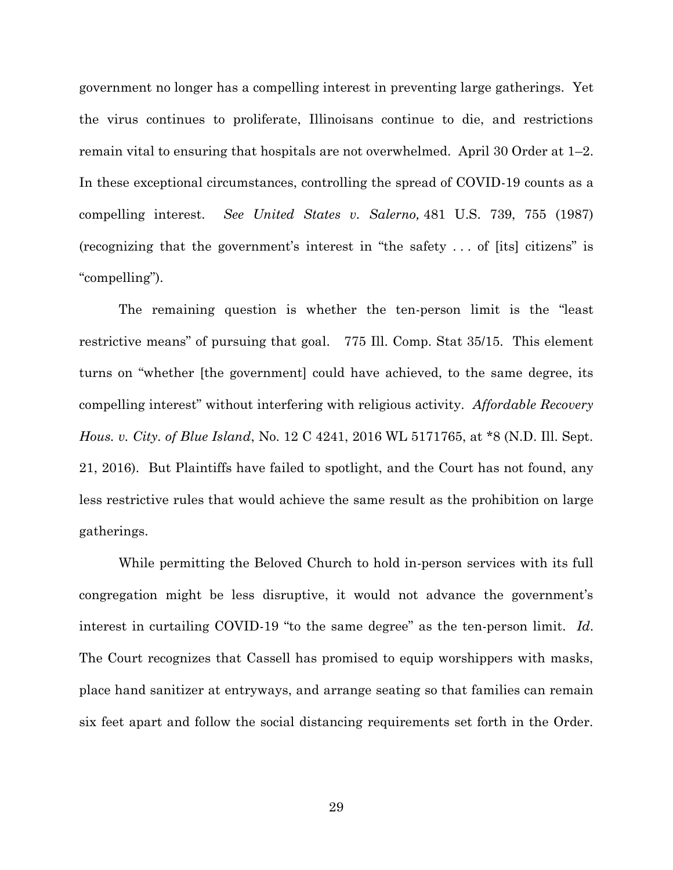government no longer has a compelling interest in preventing large gatherings. Yet the virus continues to proliferate, Illinoisans continue to die, and restrictions remain vital to ensuring that hospitals are not overwhelmed. April 30 Order at 1–2. In these exceptional circumstances, controlling the spread of COVID-19 counts as a compelling interest. *See United States v. Salerno,* 481 U.S. 739, 755 (1987) (recognizing that the government's interest in "the safety . . . of [its] citizens" is "compelling").

The remaining question is whether the ten-person limit is the "least restrictive means" of pursuing that goal. 775 Ill. Comp. Stat 35/15. This element turns on "whether [the government] could have achieved, to the same degree, its compelling interest" without interfering with religious activity. *Affordable Recovery Hous. v. City. of Blue Island*, No. 12 C 4241, 2016 WL 5171765, at \*8 (N.D. Ill. Sept. 21, 2016). But Plaintiffs have failed to spotlight, and the Court has not found, any less restrictive rules that would achieve the same result as the prohibition on large gatherings.

While permitting the Beloved Church to hold in-person services with its full congregation might be less disruptive, it would not advance the government's interest in curtailing COVID-19 "to the same degree" as the ten-person limit. *Id*. The Court recognizes that Cassell has promised to equip worshippers with masks, place hand sanitizer at entryways, and arrange seating so that families can remain six feet apart and follow the social distancing requirements set forth in the Order.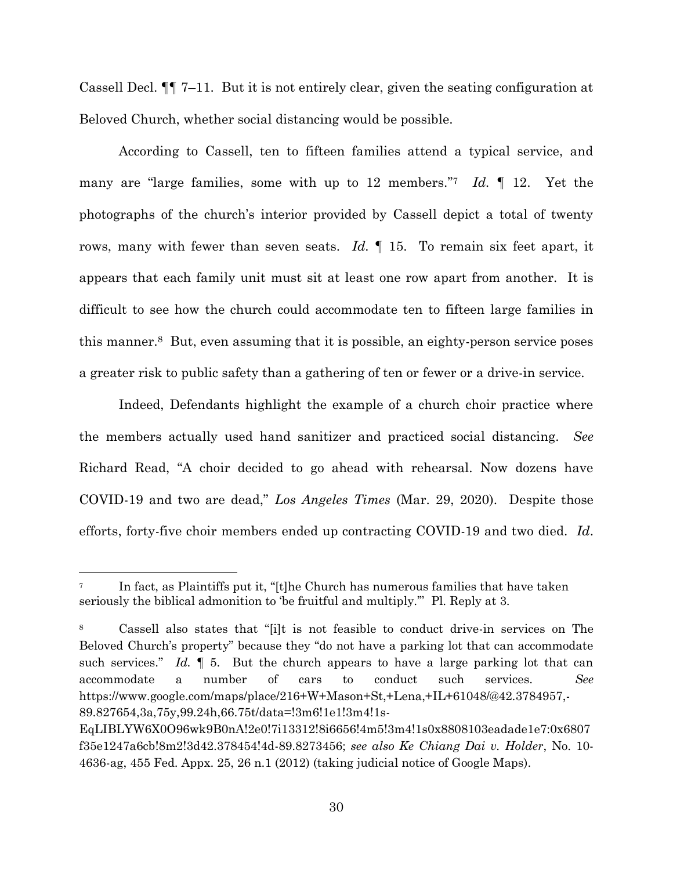Cassell Decl.  $\P$  7–11. But it is not entirely clear, given the seating configuration at Beloved Church, whether social distancing would be possible.

According to Cassell, ten to fifteen families attend a typical service, and many are "large families, some with up to 12 members." <sup>7</sup> *Id.* ¶ 12. Yet the photographs of the church's interior provided by Cassell depict a total of twenty rows, many with fewer than seven seats. *Id.* ¶ 15. To remain six feet apart, it appears that each family unit must sit at least one row apart from another. It is difficult to see how the church could accommodate ten to fifteen large families in this manner.8 But, even assuming that it is possible, an eighty-person service poses a greater risk to public safety than a gathering of ten or fewer or a drive-in service.

Indeed, Defendants highlight the example of a church choir practice where the members actually used hand sanitizer and practiced social distancing. *See* Richard Read, "A choir decided to go ahead with rehearsal. Now dozens have COVID-19 and two are dead," *Los Angeles Times* (Mar. 29, 2020). Despite those efforts, forty-five choir members ended up contracting COVID-19 and two died. *Id*.

In fact, as Plaintiffs put it, "[t]he Church has numerous families that have taken seriously the biblical admonition to 'be fruitful and multiply.'" Pl. Reply at 3.

<sup>8</sup> Cassell also states that "[i]t is not feasible to conduct drive-in services on The Beloved Church's property" because they "do not have a parking lot that can accommodate such services." *Id.*  $\parallel$  5. But the church appears to have a large parking lot that can accommodate a number of cars to conduct such services. *See*  https://www.google.com/maps/place/216+W+Mason+St,+Lena,+IL+61048/@42.3784957,- 89.827654,3a,75y,99.24h,66.75t/data=!3m6!1e1!3m4!1s-

EqLIBLYW6X0O96wk9B0nA!2e0!7i13312!8i6656!4m5!3m4!1s0x8808103eadade1e7:0x6807 f35e1247a6cb!8m2!3d42.378454!4d-89.8273456; *see also Ke Chiang Dai v. Holder*, No. 10- 4636-ag, 455 Fed. Appx. 25, 26 n.1 (2012) (taking judicial notice of Google Maps).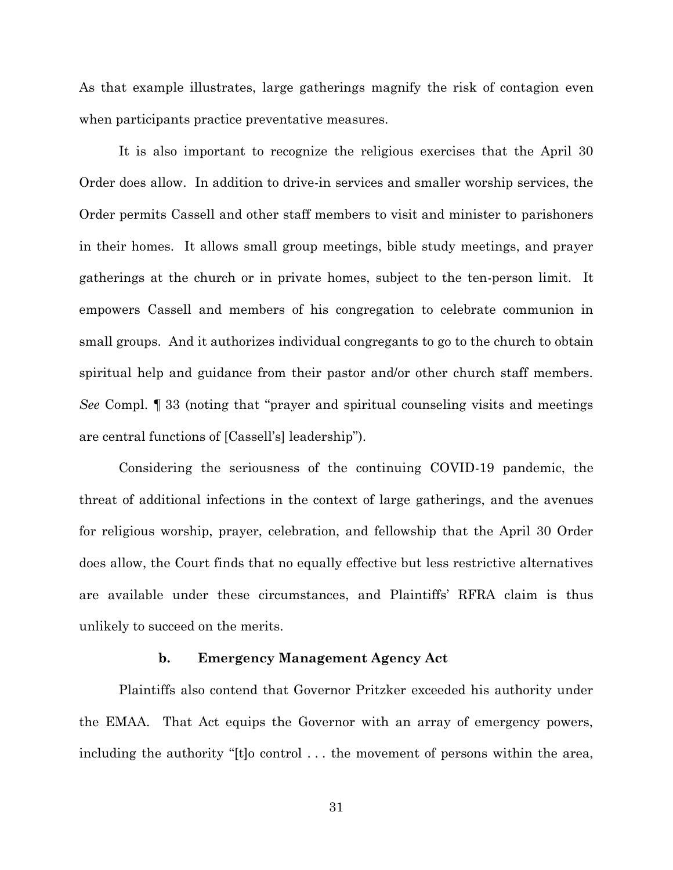As that example illustrates, large gatherings magnify the risk of contagion even when participants practice preventative measures.

It is also important to recognize the religious exercises that the April 30 Order does allow. In addition to drive-in services and smaller worship services, the Order permits Cassell and other staff members to visit and minister to parishoners in their homes. It allows small group meetings, bible study meetings, and prayer gatherings at the church or in private homes, subject to the ten-person limit. It empowers Cassell and members of his congregation to celebrate communion in small groups. And it authorizes individual congregants to go to the church to obtain spiritual help and guidance from their pastor and/or other church staff members. *See* Compl. ¶ 33 (noting that "prayer and spiritual counseling visits and meetings are central functions of [Cassell's] leadership").

Considering the seriousness of the continuing COVID-19 pandemic, the threat of additional infections in the context of large gatherings, and the avenues for religious worship, prayer, celebration, and fellowship that the April 30 Order does allow, the Court finds that no equally effective but less restrictive alternatives are available under these circumstances, and Plaintiffs' RFRA claim is thus unlikely to succeed on the merits.

# **b. Emergency Management Agency Act**

Plaintiffs also contend that Governor Pritzker exceeded his authority under the EMAA. That Act equips the Governor with an array of emergency powers, including the authority "[t]o control . . . the movement of persons within the area,

31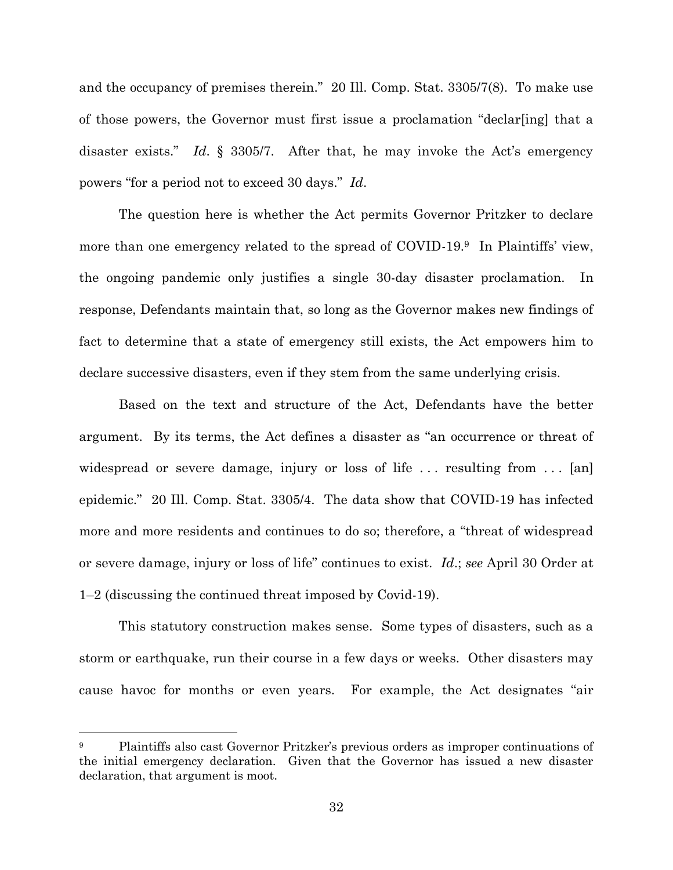and the occupancy of premises therein." 20 Ill. Comp. Stat. 3305/7(8). To make use of those powers, the Governor must first issue a proclamation "declar[ing] that a disaster exists." *Id*. § 3305/7. After that, he may invoke the Act's emergency powers "for a period not to exceed 30 days." *Id*.

The question here is whether the Act permits Governor Pritzker to declare more than one emergency related to the spread of COVID-19.<sup>9</sup> In Plaintiffs' view, the ongoing pandemic only justifies a single 30-day disaster proclamation. In response, Defendants maintain that, so long as the Governor makes new findings of fact to determine that a state of emergency still exists, the Act empowers him to declare successive disasters, even if they stem from the same underlying crisis.

Based on the text and structure of the Act, Defendants have the better argument. By its terms, the Act defines a disaster as "an occurrence or threat of widespread or severe damage, injury or loss of life  $\dots$  resulting from  $\dots$  [an] epidemic." 20 Ill. Comp. Stat. 3305/4. The data show that COVID-19 has infected more and more residents and continues to do so; therefore, a "threat of widespread or severe damage, injury or loss of life" continues to exist. *Id*.; *see* April 30 Order at 1–2 (discussing the continued threat imposed by Covid-19).

This statutory construction makes sense. Some types of disasters, such as a storm or earthquake, run their course in a few days or weeks. Other disasters may cause havoc for months or even years. For example, the Act designates "air

<sup>9</sup> Plaintiffs also cast Governor Pritzker's previous orders as improper continuations of the initial emergency declaration. Given that the Governor has issued a new disaster declaration, that argument is moot.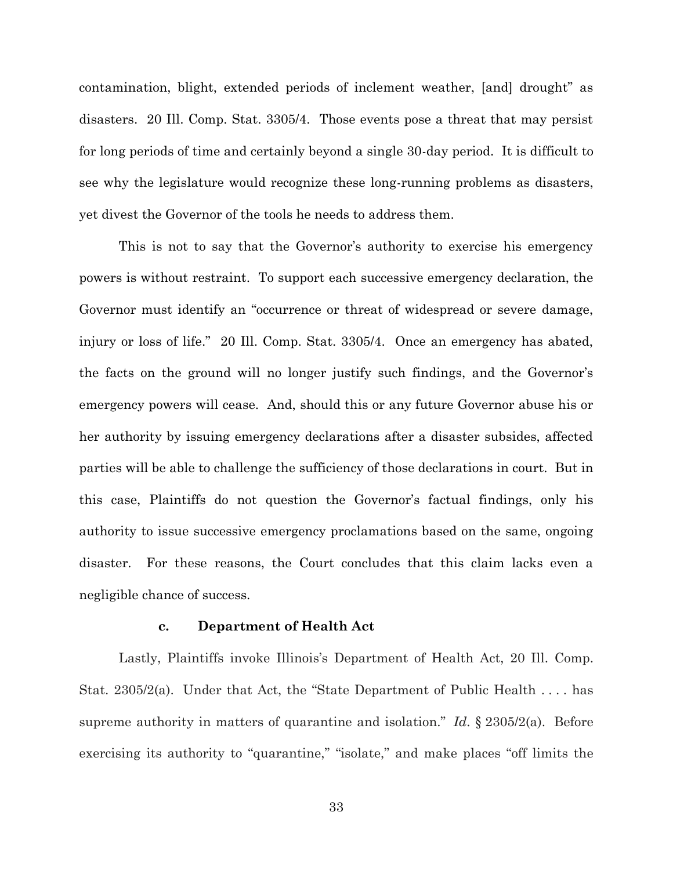contamination, blight, extended periods of inclement weather, [and] drought" as disasters. 20 Ill. Comp. Stat. 3305/4. Those events pose a threat that may persist for long periods of time and certainly beyond a single 30-day period. It is difficult to see why the legislature would recognize these long-running problems as disasters, yet divest the Governor of the tools he needs to address them.

This is not to say that the Governor's authority to exercise his emergency powers is without restraint. To support each successive emergency declaration, the Governor must identify an "occurrence or threat of widespread or severe damage, injury or loss of life." 20 Ill. Comp. Stat. 3305/4. Once an emergency has abated, the facts on the ground will no longer justify such findings, and the Governor's emergency powers will cease. And, should this or any future Governor abuse his or her authority by issuing emergency declarations after a disaster subsides, affected parties will be able to challenge the sufficiency of those declarations in court. But in this case, Plaintiffs do not question the Governor's factual findings, only his authority to issue successive emergency proclamations based on the same, ongoing disaster. For these reasons, the Court concludes that this claim lacks even a negligible chance of success.

#### **c. Department of Health Act**

Lastly, Plaintiffs invoke Illinois's Department of Health Act, 20 Ill. Comp. Stat. 2305/2(a). Under that Act, the "State Department of Public Health . . . . has supreme authority in matters of quarantine and isolation." *Id*. § 2305/2(a). Before exercising its authority to "quarantine," "isolate," and make places "off limits the

33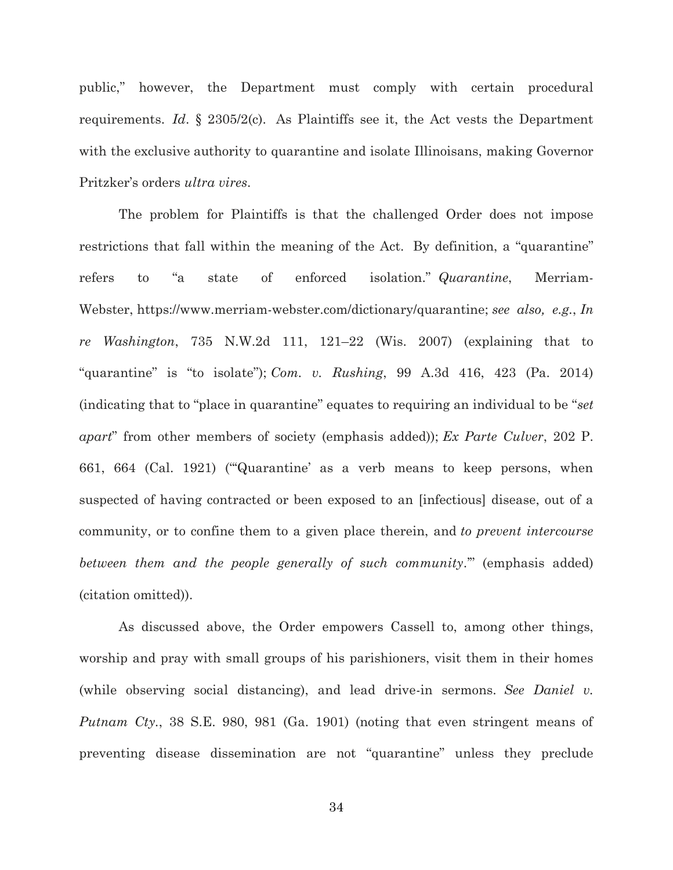public," however, the Department must comply with certain procedural requirements. *Id*. § 2305/2(c). As Plaintiffs see it, the Act vests the Department with the exclusive authority to quarantine and isolate Illinoisans, making Governor Pritzker's orders *ultra vires*.

The problem for Plaintiffs is that the challenged Order does not impose restrictions that fall within the meaning of the Act. By definition, a "quarantine" refers to "a state of enforced isolation." *Quarantine*, Merriam-Webster, https://www.merriam-webster.com/dictionary/quarantine; *see also, e.g.*, *In re Washington*, 735 N.W.2d 111, 121–22 (Wis. 2007) (explaining that to "quarantine" is "to isolate"); *Com. v. Rushing*, 99 A.3d 416, 423 (Pa. 2014) (indicating that to "place in quarantine" equates to requiring an individual to be "*set apart*" from other members of society (emphasis added)); *Ex Parte Culver*, 202 P. 661, 664 (Cal. 1921) ("'Quarantine' as a verb means to keep persons, when suspected of having contracted or been exposed to an [infectious] disease, out of a community, or to confine them to a given place therein, and *to prevent intercourse between them and the people generally of such community*.'" (emphasis added) (citation omitted)).

As discussed above, the Order empowers Cassell to, among other things, worship and pray with small groups of his parishioners, visit them in their homes (while observing social distancing), and lead drive-in sermons. *See Daniel v. Putnam Cty.*, 38 S.E. 980, 981 (Ga. 1901) (noting that even stringent means of preventing disease dissemination are not "quarantine" unless they preclude

34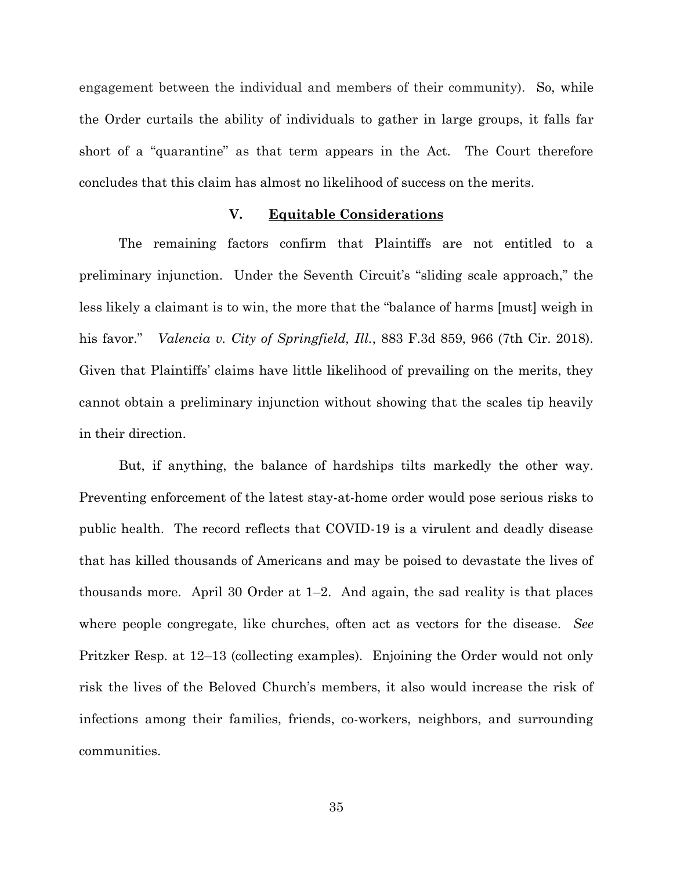engagement between the individual and members of their community). So, while the Order curtails the ability of individuals to gather in large groups, it falls far short of a "quarantine" as that term appears in the Act. The Court therefore concludes that this claim has almost no likelihood of success on the merits.

## **V. Equitable Considerations**

The remaining factors confirm that Plaintiffs are not entitled to a preliminary injunction. Under the Seventh Circuit's "sliding scale approach," the less likely a claimant is to win, the more that the "balance of harms [must] weigh in his favor." *Valencia v. City of Springfield, Ill.*, 883 F.3d 859, 966 (7th Cir. 2018). Given that Plaintiffs' claims have little likelihood of prevailing on the merits, they cannot obtain a preliminary injunction without showing that the scales tip heavily in their direction.

But, if anything, the balance of hardships tilts markedly the other way. Preventing enforcement of the latest stay-at-home order would pose serious risks to public health. The record reflects that COVID-19 is a virulent and deadly disease that has killed thousands of Americans and may be poised to devastate the lives of thousands more. April 30 Order at 1–2. And again, the sad reality is that places where people congregate, like churches, often act as vectors for the disease. *See* Pritzker Resp. at 12–13 (collecting examples). Enjoining the Order would not only risk the lives of the Beloved Church's members, it also would increase the risk of infections among their families, friends, co-workers, neighbors, and surrounding communities.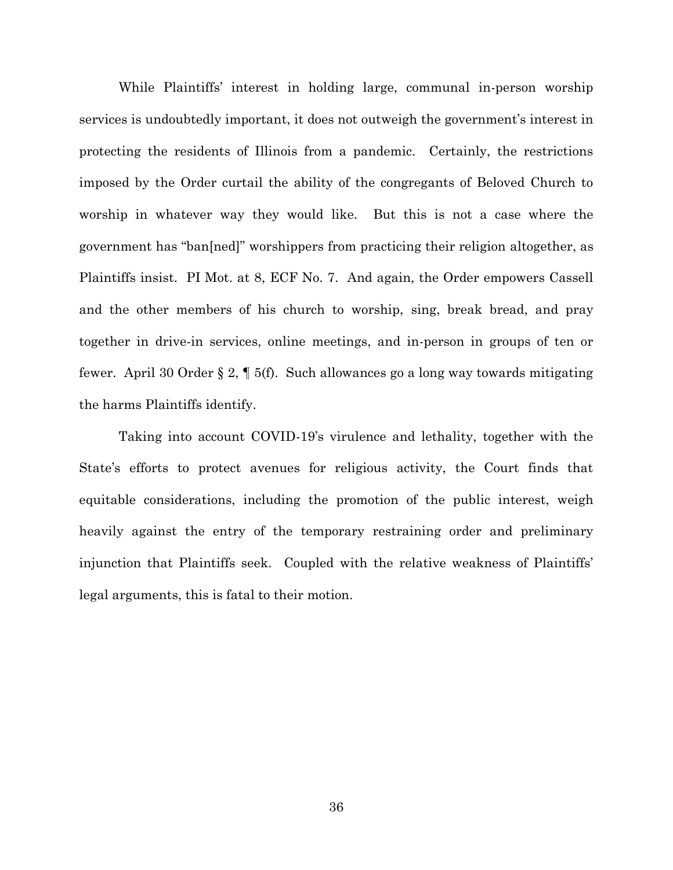While Plaintiffs' interest in holding large, communal in-person worship services is undoubtedly important, it does not outweigh the government's interest in protecting the residents of Illinois from a pandemic. Certainly, the restrictions imposed by the Order curtail the ability of the congregants of Beloved Church to worship in whatever way they would like. But this is not a case where the government has "ban[ned]" worshippers from practicing their religion altogether, as Plaintiffs insist. PI Mot. at 8, ECF No. 7. And again, the Order empowers Cassell and the other members of his church to worship, sing, break bread, and pray together in drive-in services, online meetings, and in-person in groups of ten or fewer. April 30 Order § 2, ¶ 5(f). Such allowances go a long way towards mitigating the harms Plaintiffs identify.

Taking into account COVID-19's virulence and lethality, together with the State's efforts to protect avenues for religious activity, the Court finds that equitable considerations, including the promotion of the public interest, weigh heavily against the entry of the temporary restraining order and preliminary injunction that Plaintiffs seek. Coupled with the relative weakness of Plaintiffs' legal arguments, this is fatal to their motion.